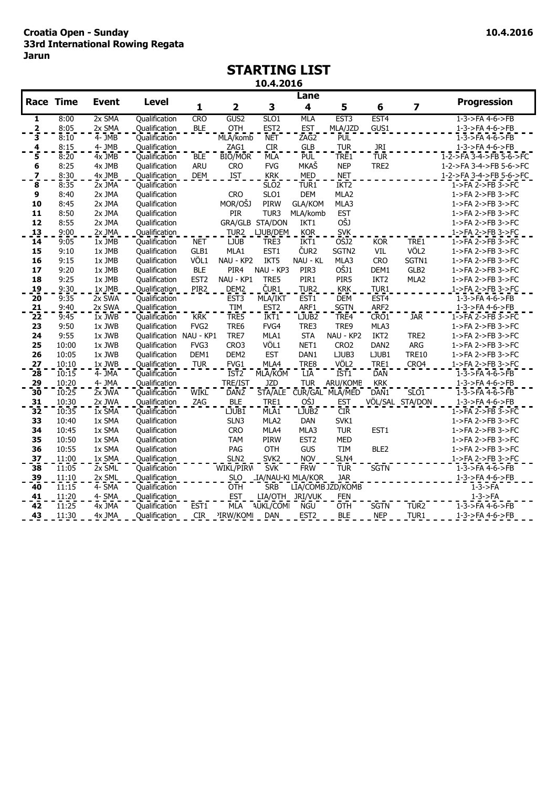# **STARTING LIST**

**10.4.2016**

|                         |                  |                      |                         |                  |                         |                          | Lane                    |                   |                  |                  |                                         |
|-------------------------|------------------|----------------------|-------------------------|------------------|-------------------------|--------------------------|-------------------------|-------------------|------------------|------------------|-----------------------------------------|
|                         | <b>Race Time</b> | <b>Event</b>         | <b>Level</b>            | 1                | $\overline{\mathbf{2}}$ | 3                        | $\overline{\mathbf{4}}$ | 5                 | 6                | 7                | <b>Progression</b>                      |
| 1                       | 8:00             | 2x SMA               | Qualification           | <b>CRO</b>       | GUS <sub>2</sub>        | SLO <sub>1</sub>         | <b>MLA</b>              | EST <sub>3</sub>  | EST <sub>4</sub> |                  | $1 - 3 - 5FA 4 - 6 - 5FB$               |
| $^{2}$                  | 8:05             | $2x$ SMA             | Qualification           | <b>BLE</b>       | <b>OTH</b>              | EST <sub>2</sub>         | <b>EST</b>              | MLA/JZD           | GUS1             |                  | 1-3->FA 4-6->FB                         |
| 3                       | 8:10             | $\overline{4}$ - JMB | Qualification           |                  | MLA/komb                | <b>NET</b>               | ZAG2                    | PUL               |                  |                  | $1 - 3 - 5FA$ 4-6- $>$ FB               |
| 4                       | 8:15             | 4- JMB               | Qualification           |                  | ZAG1                    | <b>CIR</b>               | <b>GLB</b>              | <b>TUR</b>        | <b>JRI</b>       |                  | 1-3->FA 4-6->FB                         |
| 5                       | 8:20             | $4x$ JMB             | Qualification           | <b>BLE</b>       | <b>BIO/MOR</b>          | MLA                      | PUL <sup>-</sup>        | TRE1              | <b>TUR</b>       |                  | $1 - 2 - 5FA$ 3-4- $>$ $FB$ 5-6- $>$ FC |
| 6                       | 8:25             | 4x JMB               | Qualification           | <b>ARU</b>       | <b>CRO</b>              | <b>FVG</b>               | <b>MKAŠ</b>             | <b>NEP</b>        | TRE2             |                  | 1-2->FA 3-4->FB 5-6->FC                 |
| $\overline{\mathbf{z}}$ | 8:30             | 4x JMB               | Qualification           | <b>DEM</b>       | <b>IST</b>              | <b>KRK</b>               | <b>MED</b>              | <b>NET</b>        |                  |                  | 1-2->FA 3-4->FB 5-6->FC                 |
| 8                       | 8:35             | 2x JMA               | Qualification           |                  |                         | SLO <sub>2</sub>         | TUR <sub>1</sub>        | IKT <sub>2</sub>  |                  |                  | 1->FA 2->FB 3->FC                       |
| 9                       | 8:40             | 2x JMA               | Qualification           |                  | <b>CRO</b>              | SLO1                     | <b>DEM</b>              | MLA2              |                  |                  | 1->FA 2->FB 3->FC                       |
| 10                      | 8:45             | 2x JMA               | Qualification           |                  | MOR/OŠJ                 | PIRW                     | <b>GLA/KOM</b>          | MLA3              |                  |                  | 1->FA 2->FB 3->FC                       |
| 11                      | 8:50             | 2x JMA               | Qualification           |                  | PIR                     | TUR3                     | MLA/komb                | <b>EST</b>        |                  |                  | 1->FA 2->FB 3->FC                       |
| 12                      | 8:55             | 2x JMA               | Qualification           |                  |                         | GRA/GLB STA/DON          | IKT1                    | OŠJ               |                  |                  | 1->FA 2->FB 3->FC                       |
| 13                      | 9:00             | 2x JMA               | Qualification           |                  | TUR2                    | LJUB/DEM                 | <b>KOR</b>              | <b>SVK</b>        |                  |                  | 1->FA 2->FB 3->FC                       |
| $\overline{14}$         | 9:05             | 1x JMB               | Qualification           | <b>NET</b>       | <b>LJUB</b>             | TRE3                     | IKT1                    | <b>OSJ2</b>       | <b>KOR</b>       | TRE1             | $1$ ->FA 2->FB 3->FC                    |
| 15                      | 9:10             | 1x JMB               | Qualification           | GLB1             | MLA1                    | EST1                     | ČUR <sub>2</sub>        | SGTN2             | VIL              | VÖL2             | 1->FA 2->FB 3->FC                       |
| 16                      | 9:15             | 1x JMB               | Qualification           | VÖL1             | NAU - KP2               | IKT5                     | NAU - KL                | MLA3              | <b>CRO</b>       | SGTN1            | 1->FA 2->FB 3->FC                       |
| 17                      | 9:20             | 1x JMB               | Qualification           | <b>BLE</b>       | PIR4                    | NAU - KP3                | PIR3                    | OŠJ1              | DEM1             | GLB2             | 1->FA 2->FB 3->FC                       |
| 18                      | 9:25             | 1x JMB               | Qualification           | EST <sub>2</sub> | NAU - KP1               | TRE5                     | PIR1                    | PIR5              | IKT <sub>2</sub> | MLA2             | 1->FA 2->FB 3->FC                       |
| 19                      | 9:30             | 1x JMB               | Qualification           | PIR <sub>2</sub> | DEM2                    | ČUR <sub>1</sub>         | TUR <sub>2</sub>        | <b>KRK</b>        | TUR1             |                  | 1->FA 2->FB 3->FC                       |
| 20                      | 9:35             | $2x$ SWA             | Qualification           |                  | EST <sub>3</sub>        | MLA/IKT                  | EST <sub>1</sub>        | <b>DEM</b>        | EST4             |                  | 1-3->FA 4-6->FB                         |
| $\frac{21}{22}$         | 9:40             | 2x SWA               | Qualification           |                  | <b>TIM</b>              | EST <sub>2</sub>         | ARF1                    | <b>SGTN</b>       | ARF <sub>2</sub> |                  | 1-3->FA 4-6->FB                         |
|                         | 9:45             | 1x JWB               | Qualification           | <b>KRK</b>       | TRE5                    | IKT <sub>1</sub>         | LJUB <sub>2</sub>       | TRE4              | CRO1             | <b>JAR</b>       | 1->FA 2->FB 3->FC                       |
| 23                      | 9:50             | 1x JWB               | Qualification           | FVG2             | TRE6                    | FVG4                     | TRE3                    | TRE9              | MLA3             |                  | 1->FA 2->FB 3->FC                       |
| 24                      | 9:55             | 1x JWB               | Qualification NAU - KP1 |                  | TRE7                    | MLA1                     | <b>STA</b>              | NAU - KP2         | IKT <sub>2</sub> | TRE2             | 1->FA 2->FB 3->FC                       |
| 25                      | 10:00            | 1x JWB               | Qualification           | FVG3             | CRO3                    | VÖL1                     | NET1                    | CRO <sub>2</sub>  | DAN <sub>2</sub> | ARG              | 1->FA 2->FB 3->FC                       |
| 26                      | 10:05            | 1x JWB               | Qualification           | DEM1             | DEM <sub>2</sub>        | <b>EST</b>               | DAN1                    | LJUB3             | LJUB1            | <b>TRE10</b>     | 1->FA 2->FB 3->FC                       |
| 27                      | 10:10            | 1x JWB               | Qualification           | <b>TUR</b>       | FVG1                    | MLA4                     | TRE8                    | VÖL2              | TRE1             | CRO4             | 1->FA 2->FB 3->FC                       |
| $\overline{28}$         | 10:15            | 4- JMA               | Qualification           |                  | IST <sub>2</sub>        | MLA/KOM                  | <b>LIA</b>              | IST1              | <b>DAN</b>       |                  | $1 - 3 - 5FA$ 4-6- $>FB$                |
| $\frac{29}{30}$         | 10:20            | 4- JMA               | Qualification           |                  | <b>TRE/IST</b>          | JZD                      | <b>TUR</b>              | ARU/KOME          | <b>KRK</b>       |                  | $1 - 3 - \geq F_A 4 - 6 - \geq F_B$     |
|                         | 10:25            | $2x$ JWA             | Qualification           | <b>WIKL</b>      | DAN <sub>2</sub>        | STA/ALE                  |                         | CUR/GAL MLA/MED   | DAN <sub>1</sub> | SLO1             | $1-3-5FA$ $4-6-5FB$                     |
| 31                      | 10:30            | 2x JWA               | Qualification           | ZAG              | <b>BLE</b>              | TRE1                     | OŠJ                     | <b>EST</b>        |                  | VÖL/SAL STA/DON  | $1 - 3 - \geq FA$ 4-6- $\geq FB$        |
| 32                      | 10:35            | $1x$ SMA             | Qualification           |                  | LJUB1                   | MLA <sub>1</sub>         | LJUB <sub>2</sub>       | <b>CIR</b>        |                  |                  | $1$ ->FA $2$ ->FB $3$ ->FC              |
| 33                      | 10:40            | 1x SMA               | Qualification           |                  | SLN3                    | MLA2                     | <b>DAN</b>              | SVK1              |                  |                  | 1->FA 2->FB 3->FC                       |
| 34                      | 10:45            | 1x SMA               | Qualification           |                  | <b>CRO</b>              | MLA4                     | MLA3                    | <b>TUR</b>        | EST1             |                  | 1->FA 2->FB 3->FC                       |
| 35                      | 10:50            | 1x SMA               | Qualification           |                  | <b>TAM</b>              | PIRW                     | EST <sub>2</sub>        | <b>MED</b>        |                  |                  | 1->FA 2->FB 3->FC                       |
| 36                      | 10:55            | 1x SMA               | Qualification           |                  | PAG                     | OTH                      | GUS                     | TIM               | BLE <sub>2</sub> |                  | 1->FA 2->FB 3->FC                       |
| 3Z                      | 11:00            | $1x$ SMA             | <b>Qualification</b>    |                  | SLN <sub>2</sub>        | SVK <sub>2</sub>         | <b>NOV</b>              | SLN4              |                  |                  | 1->FA 2->FB 3->FC                       |
| 38                      | 11:05            | 2x SML               | Qualification           |                  | WIKL/PIRM               | <b>SVK</b>               | <b>FRW</b>              | <b>TUR</b>        | <b>SGTN</b>      |                  | 1-3->FA 4-6->FB                         |
| 39                      | 11:10            | 2x SML               | <b>Qualification</b>    |                  | <b>SLO</b>              | <b>IA/NAU-KI MLA/KOR</b> |                         | <b>JAR</b>        |                  |                  | $1 - 3 - 5 = A$ 4-6- $\geq$ FB          |
| 40                      | 11:15            | 4- SMA               | Qualification           |                  | <b>OTH</b>              | <b>SRB</b>               |                         | LIA/COMB JZD/KOMB |                  |                  | $1-3-$ FA                               |
| 41                      | 11:20            | 4- SMA               | Qualification           |                  | <b>EST</b>              |                          | LIA/OTH JRI/VUK         | <b>FEN</b>        |                  |                  | $1-3-$ FA                               |
| 42                      | 11:25            | 4x JMA               | Qualification           | EST <sub>1</sub> | MLA                     | <b>NUKL/COMI</b>         | <b>NGU</b>              | OTH               | <b>SGTN</b>      | TUR <sub>2</sub> | $1 - 3 - 5 = 4 - 6 - 5 = 15$            |
| 43                      | 11:30            | 4x JMA               | Qualification           | <b>CIR</b>       | <sup>2</sup> IRW/KOMI   | <b>DAN</b>               | EST <sub>2</sub>        | <b>BLE</b>        | <b>NEP</b>       | TUR1             | 1-3->FA 4-6->FB                         |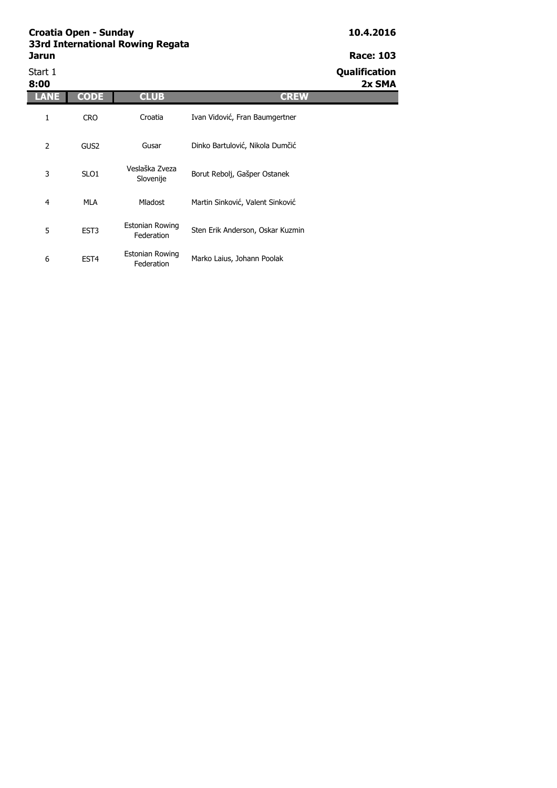Start 1 **Qualification** 

**8:00 2x SMA**

| 8:00           |                  |                               |                                  |
|----------------|------------------|-------------------------------|----------------------------------|
| LANE           | <b>CODE</b>      | <b>CLUB</b>                   | <b>CREW</b>                      |
| 1              | <b>CRO</b>       | Croatia                       | Ivan Vidović, Fran Baumgertner   |
| $\overline{2}$ | GUS <sub>2</sub> | Gusar                         | Dinko Bartulović, Nikola Dumčić  |
| 3              | SLO <sub>1</sub> | Veslaška Zveza<br>Slovenije   | Borut Rebolj, Gašper Ostanek     |
| 4              | MLA              | <b>Mladost</b>                | Martin Sinković, Valent Sinković |
| 5              | EST <sub>3</sub> | Estonian Rowing<br>Federation | Sten Erik Anderson, Oskar Kuzmin |
| 6              | EST <sub>4</sub> | Estonian Rowing<br>Federation | Marko Laius, Johann Poolak       |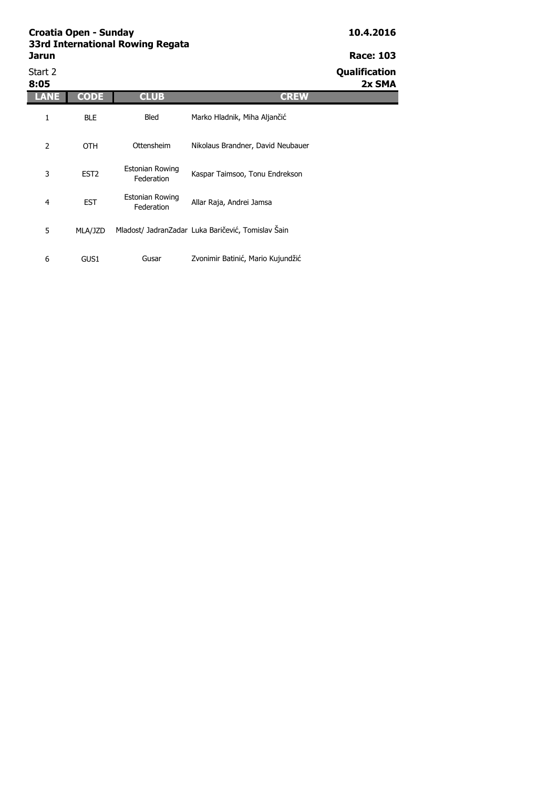Start 2 **Qualification**

| 8:05           |                  |                                      | 2x SMA                                             |
|----------------|------------------|--------------------------------------|----------------------------------------------------|
| ANE            | <b>CODE</b>      | <b>CLUB</b>                          | <b>CREW</b>                                        |
| 1              | <b>BLE</b>       | Bled                                 | Marko Hladnik, Miha Aljančić                       |
| 2              | <b>OTH</b>       | Ottensheim                           | Nikolaus Brandner, David Neubauer                  |
| 3              | EST <sub>2</sub> | Estonian Rowing<br>Federation        | Kaspar Taimsoo, Tonu Endrekson                     |
| $\overline{4}$ | <b>EST</b>       | <b>Estonian Rowing</b><br>Federation | Allar Raja, Andrei Jamsa                           |
| 5              | MLA/JZD          |                                      | Mladost/ JadranZadar Luka Baričević, Tomislav Šain |
| 6              | GUS1             | Gusar                                | Zvonimir Batinić, Mario Kujundžić                  |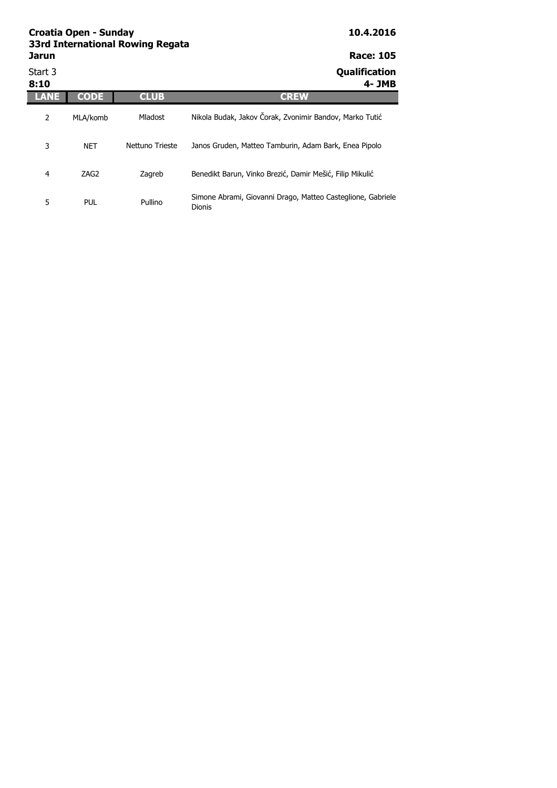| Jarun           |             |                 | <b>Race: 105</b>                                                             |
|-----------------|-------------|-----------------|------------------------------------------------------------------------------|
| Start 3<br>8:10 |             |                 | Qualification<br>4- JMB                                                      |
| LAR             | <b>CODE</b> | <b>CLUB</b>     | <b>CREW</b>                                                                  |
| 2               | MLA/komb    | Mladost         | Nikola Budak, Jakov Čorak, Zvonimir Bandov, Marko Tutić                      |
| 3               | <b>NET</b>  | Nettuno Trieste | Janos Gruden, Matteo Tamburin, Adam Bark, Enea Pipolo                        |
| 4               | ZAG2        | Zagreb          | Benedikt Barun, Vinko Brezić, Damir Mešić, Filip Mikulić                     |
| 5               | <b>PUL</b>  | Pullino         | Simone Abrami, Giovanni Drago, Matteo Casteglione, Gabriele<br><b>Dionis</b> |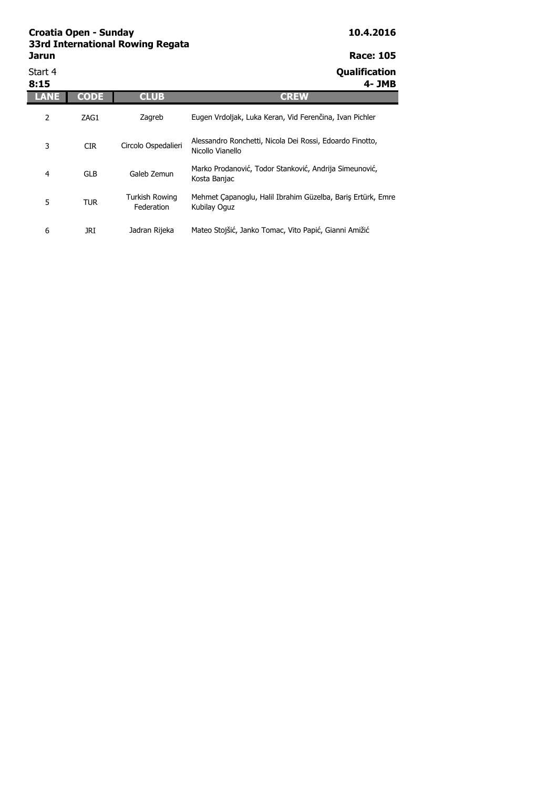| Start 4<br>8:15 |             |                                     | Qualification<br>4- JMB                                                      |
|-----------------|-------------|-------------------------------------|------------------------------------------------------------------------------|
|                 | <b>CODE</b> | <b>CLUB</b>                         | <b>CREW</b>                                                                  |
| 2               | ZAG1        | Zagreb                              | Eugen Vrdoljak, Luka Keran, Vid Ferenčina, Ivan Pichler                      |
| 3               | <b>CIR</b>  | Circolo Ospedalieri                 | Alessandro Ronchetti, Nicola Dei Rossi, Edoardo Finotto,<br>Nicollo Vianello |
| 4               | <b>GLB</b>  | Galeb Zemun                         | Marko Prodanović, Todor Stanković, Andrija Simeunović,<br>Kosta Banjac       |
| 5               | <b>TUR</b>  | <b>Turkish Rowing</b><br>Federation | Mehmet Capanoglu, Halil Ibrahim Güzelba, Bariş Ertürk, Emre<br>Kubilay Oguz  |
| 6               | JRI         | Jadran Rijeka                       | Mateo Stojšić, Janko Tomac, Vito Papić, Gianni Amižić                        |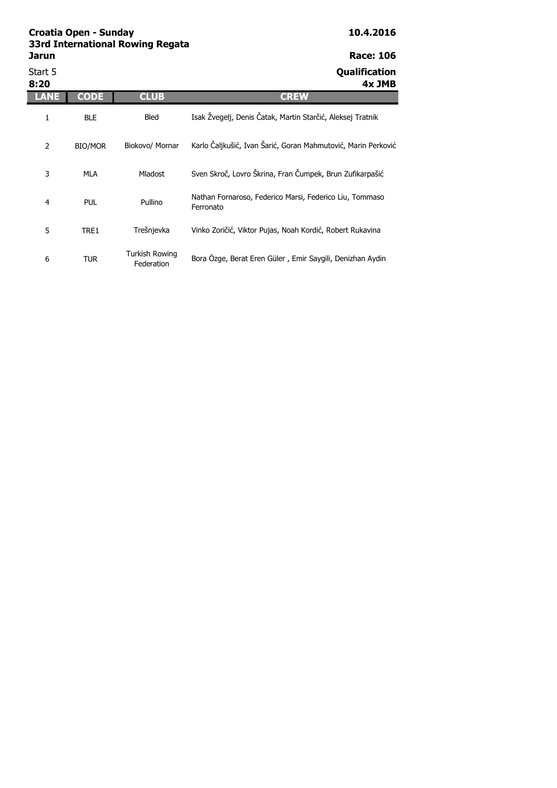| Jarun          |                |                                     | <b>Race: 106</b>                                                     |
|----------------|----------------|-------------------------------------|----------------------------------------------------------------------|
| Start 5        |                |                                     | Qualification                                                        |
| 8:20<br>ANE    | <b>CODE</b>    | <b>CLUB</b>                         | 4x JMB<br><b>CREW</b>                                                |
| 1              | <b>BLE</b>     | <b>Bled</b>                         | Isak Žvegelj, Denis Čatak, Martin Starčić, Aleksej Tratnik           |
| $\overline{2}$ | <b>BIO/MOR</b> | Biokovo/ Mornar                     | Karlo Čaljkušić, Ivan Šarić, Goran Mahmutović, Marin Perković        |
| 3              | <b>MLA</b>     | <b>Mladost</b>                      | Sven Skroč, Lovro Škrina, Fran Čumpek, Brun Zufikarpašić             |
| $\overline{4}$ | <b>PUL</b>     | Pullino                             | Nathan Fornaroso, Federico Marsi, Federico Liu, Tommaso<br>Ferronato |
| 5              | TRE1           | Trešnjevka                          | Vinko Zoričić, Viktor Pujas, Noah Kordić, Robert Rukavina            |
| 6              | TUR            | <b>Turkish Rowing</b><br>Federation | Bora Özge, Berat Eren Güler, Emir Saygili, Denizhan Aydin            |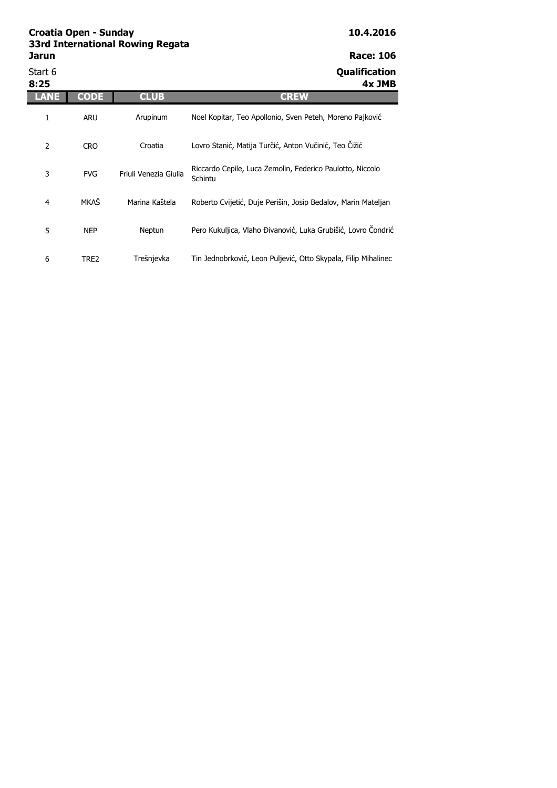| Start 6<br>8:25 |             |                       | <b>Qualification</b><br>4x JMB                                       |
|-----------------|-------------|-----------------------|----------------------------------------------------------------------|
| LANE            | <b>CODE</b> | <b>CLUB</b>           | <b>CREW</b>                                                          |
| 1               | <b>ARU</b>  | Arupinum              | Noel Kopitar, Teo Apollonio, Sven Peteh, Moreno Pajković             |
| 2               | <b>CRO</b>  | Croatia               | Lovro Stanić, Matija Turčić, Anton Vučinić, Teo Čižić                |
| 3               | <b>FVG</b>  | Friuli Venezia Giulia | Riccardo Cepile, Luca Zemolin, Federico Paulotto, Niccolo<br>Schintu |
| 4               | MKAŠ        | Marina Kaštela        | Roberto Cvijetić, Duje Perišin, Josip Bedalov, Marin Mateljan        |
| 5               | <b>NEP</b>  | Neptun                | Pero Kukuljica, Vlaho Đivanović, Luka Grubišić, Lovro Condrić        |
| 6               | TRE2        | Trešnjevka            | Tin Jednobrković, Leon Puljević, Otto Skypala, Filip Mihalinec       |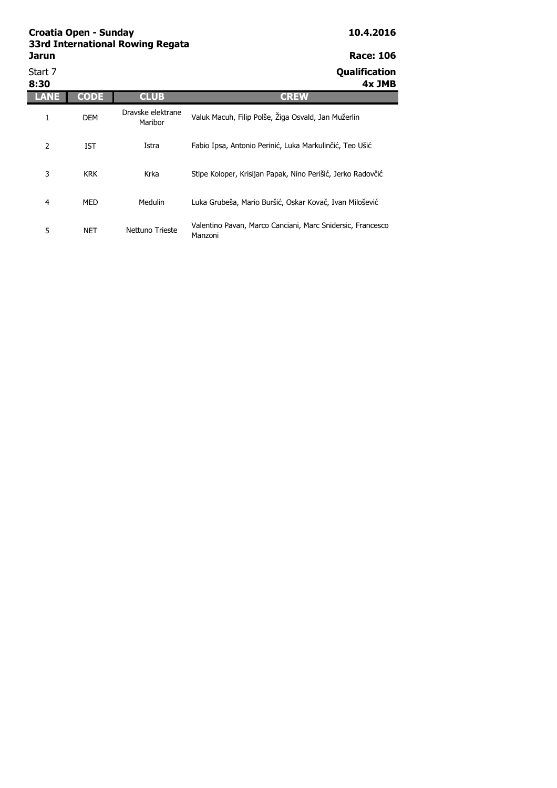| Start 7<br>8:30 |             |                              | Qualification<br>4x JMB                                               |
|-----------------|-------------|------------------------------|-----------------------------------------------------------------------|
| ANE             | <b>CODE</b> | <b>CLUB</b>                  | <b>CREW</b>                                                           |
| 1               | <b>DEM</b>  | Dravske elektrane<br>Maribor | Valuk Macuh, Filip Polše, Žiga Osvald, Jan Mužerlin                   |
| 2               | IST         | Istra                        | Fabio Ipsa, Antonio Perinić, Luka Markulinčić, Teo Ušić               |
| 3               | <b>KRK</b>  | Krka                         | Stipe Koloper, Krisijan Papak, Nino Perišić, Jerko Radovčić           |
| 4               | MED         | Medulin                      | Luka Grubeša, Mario Buršić, Oskar Kovač, Ivan Milošević               |
| 5               | <b>NET</b>  | Nettuno Trieste              | Valentino Pavan, Marco Canciani, Marc Snidersic, Francesco<br>Manzoni |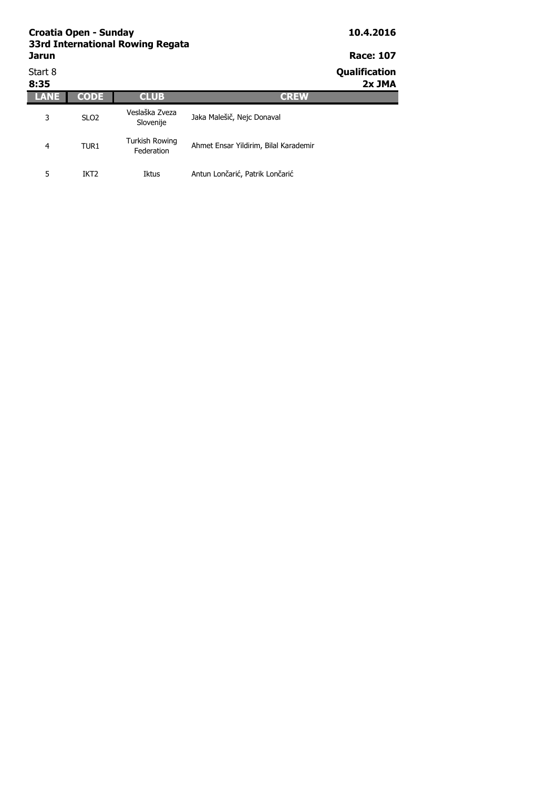| <b>Jarun</b>    | Croatia Open - Sunday | 33rd International Rowing Regata |                                       | 10.4.2016<br><b>Race: 107</b> |
|-----------------|-----------------------|----------------------------------|---------------------------------------|-------------------------------|
| Start 8<br>8:35 |                       |                                  |                                       | Qualification<br>2x JMA       |
| LANE            | <b>CODE</b>           | <b>CLUB</b>                      | <b>CREW</b>                           |                               |
| 3               | SLO <sub>2</sub>      | Veslaška Zveza<br>Slovenije      | Jaka Malešič, Nejc Donaval            |                               |
| 4               | TUR <sub>1</sub>      | Turkish Rowing<br>Federation     | Ahmet Ensar Yildirim, Bilal Karademir |                               |

Iktus Antun Lončarić, Patrik Lončarić

5 IKT2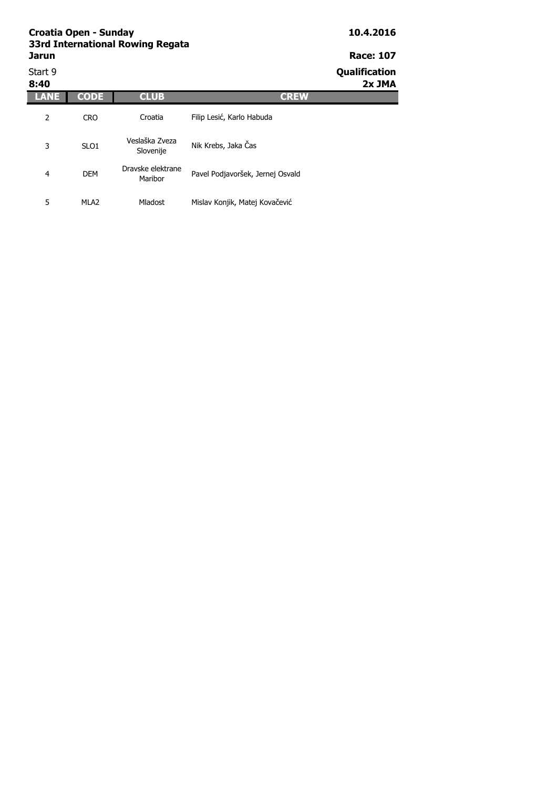|                 | <b>Croatia Open - Sunday</b><br>33rd International Rowing Regata |                              |                                  |                         |  |  |  |  |
|-----------------|------------------------------------------------------------------|------------------------------|----------------------------------|-------------------------|--|--|--|--|
| <b>Jarun</b>    | <b>Race: 107</b>                                                 |                              |                                  |                         |  |  |  |  |
| Start 9<br>8:40 |                                                                  |                              |                                  | Qualification<br>2x JMA |  |  |  |  |
|                 | <b>CODE</b>                                                      | <b>CLUB</b>                  | <b>CREW</b>                      |                         |  |  |  |  |
| 2               | <b>CRO</b>                                                       | Croatia                      | Filip Lesić, Karlo Habuda        |                         |  |  |  |  |
| 3               | SLO <sub>1</sub>                                                 | Veslaška Zveza<br>Slovenije  | Nik Krebs, Jaka Čas              |                         |  |  |  |  |
| 4               | <b>DEM</b>                                                       | Dravske elektrane<br>Maribor | Pavel Podjavoršek, Jernej Osvald |                         |  |  |  |  |

Mladost Mislav Konjik, Matej Kovačević

5 MLA2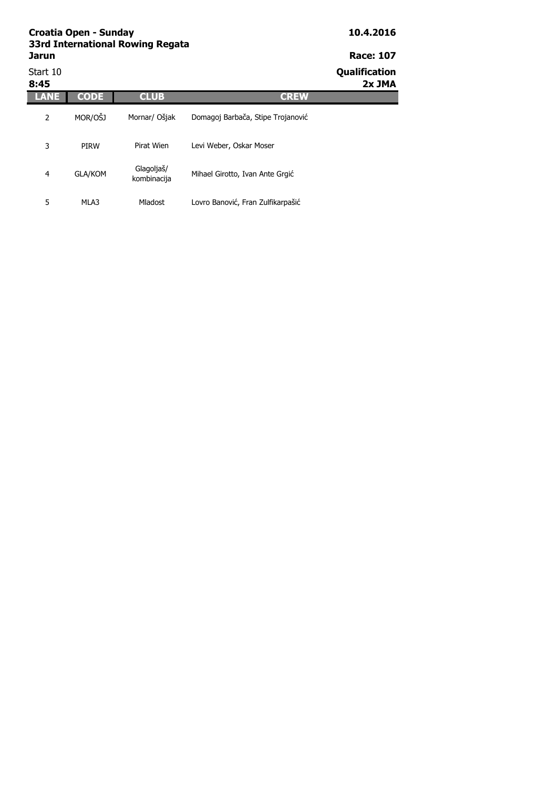## **Croatia Open - Sunday 10.4.2016 33rd International Rowing Regata Jarun Race: 107**<br> **Race: 107**<br> **Start 10**

| Start 10<br>8:45 |                |                           |                                   | Qualification<br>2x JMA |
|------------------|----------------|---------------------------|-----------------------------------|-------------------------|
| LANE             | <b>CODE</b>    | <b>CLUB</b>               | <b>CREW</b>                       |                         |
| 2                | MOR/OŠJ        | Mornar/ Ošjak             | Domagoj Barbača, Stipe Trojanović |                         |
| 3                | <b>PIRW</b>    | Pirat Wien                | Levi Weber, Oskar Moser           |                         |
| 4                | <b>GLA/KOM</b> | Glagoljaš/<br>kombinacija | Mihael Girotto, Ivan Ante Grgić   |                         |
| 5                | MLA3           | Mladost                   | Lovro Banović, Fran Zulfikarpašić |                         |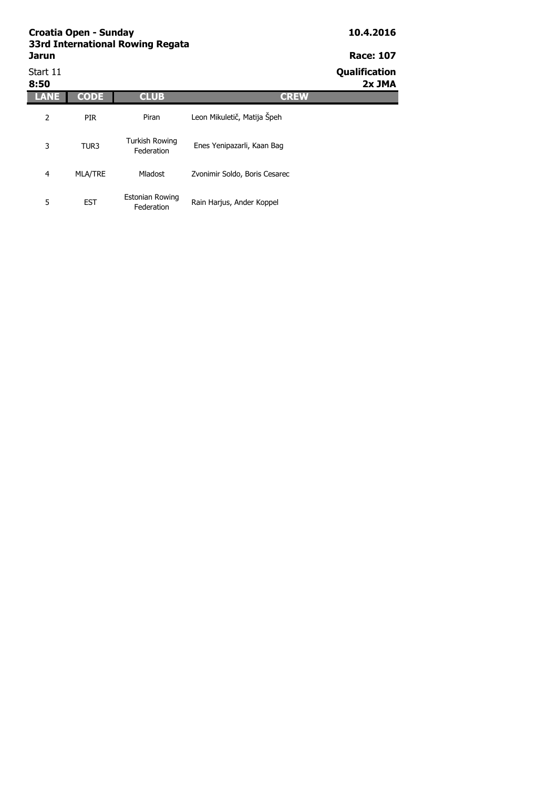Start 11 **Qualification** 

| 8:50 |                  |                                      |                               | 2x JMA |
|------|------------------|--------------------------------------|-------------------------------|--------|
|      | CODE             | <b>CLUB</b>                          | <b>CREW</b>                   |        |
| 2    | <b>PIR</b>       | Piran                                | Leon Mikuletič, Matija Špeh   |        |
| 3    | TUR <sub>3</sub> | Turkish Rowing<br>Federation         | Enes Yenipazarli, Kaan Bag    |        |
| 4    | <b>MLA/TRE</b>   | Mladost                              | Zvonimir Soldo, Boris Cesarec |        |
| 5    | <b>EST</b>       | <b>Estonian Rowing</b><br>Federation | Rain Harjus, Ander Koppel     |        |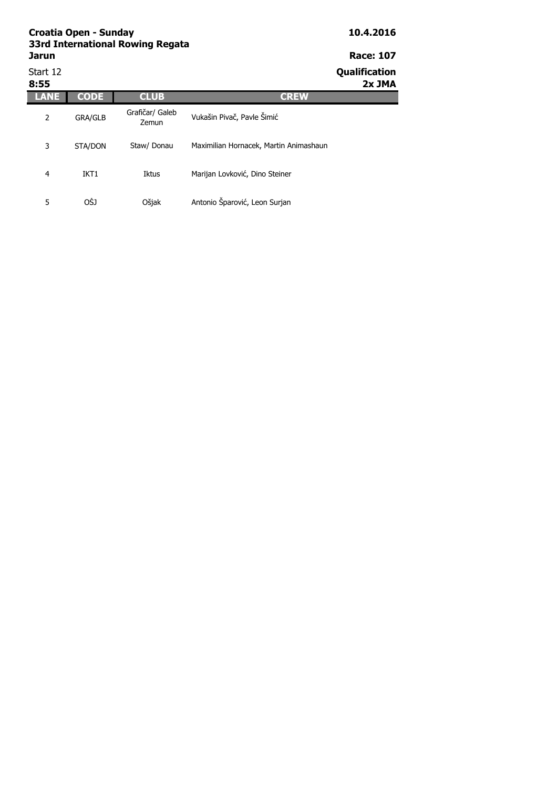| Start 12<br>8:55 |                |                          |                                        | Qualification<br>2x JMA |
|------------------|----------------|--------------------------|----------------------------------------|-------------------------|
|                  | <b>CODE</b>    | <b>CLUB</b>              | <b>CREW</b>                            |                         |
| 2                | <b>GRA/GLB</b> | Grafičar/ Galeb<br>Zemun | Vukašin Pivač, Pavle Šimić             |                         |
| 3                | STA/DON        | Staw/ Donau              | Maximilian Hornacek, Martin Animashaun |                         |
| 4                | IKT1           | Iktus                    | Marijan Lovković, Dino Steiner         |                         |
| 5                | OŠJ            | Ošjak                    | Antonio Šparović, Leon Surjan          |                         |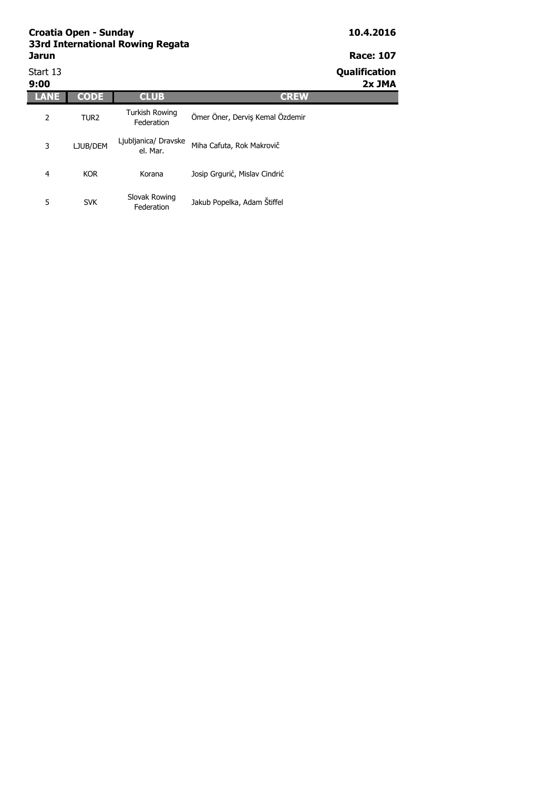| Start 13<br>9:00 |                  |                                     |                                 | <b>Qualification</b><br>2x JMA |
|------------------|------------------|-------------------------------------|---------------------------------|--------------------------------|
|                  | <b>CODE</b>      | <b>CLUB</b>                         | <b>CREW</b>                     |                                |
| 2                | TUR <sub>2</sub> | <b>Turkish Rowing</b><br>Federation | Ömer Öner, Derviş Kemal Özdemir |                                |
| 3                | LJUB/DEM         | Ljubljanica/ Dravske<br>el. Mar.    | Miha Cafuta, Rok Makrovič       |                                |
| 4                | <b>KOR</b>       | Korana                              | Josip Grgurić, Mislav Cindrić   |                                |
| 5                | <b>SVK</b>       | Slovak Rowing<br>Federation         | Jakub Popelka, Adam Štiffel     |                                |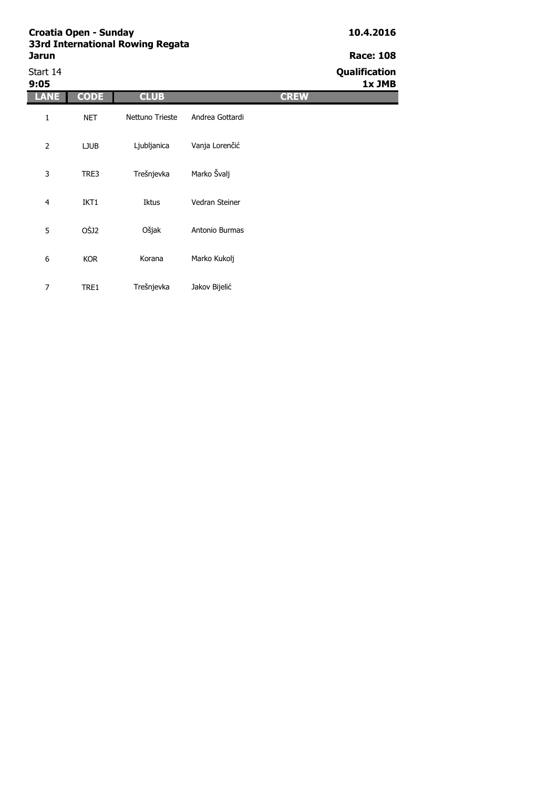# Start 14 **Qualification**

| 9:05           |             |                 |                 |             | 1x JMB |
|----------------|-------------|-----------------|-----------------|-------------|--------|
| <b>ANE</b>     | <b>CODE</b> | <b>CLUB</b>     |                 | <b>CREW</b> |        |
| 1              | <b>NET</b>  | Nettuno Trieste | Andrea Gottardi |             |        |
| $\overline{2}$ | <b>LJUB</b> | Ljubljanica     | Vanja Lorenčić  |             |        |
| 3              | TRE3        | Trešnjevka      | Marko Švalj     |             |        |
| $\overline{4}$ | IKT1        | Iktus           | Vedran Steiner  |             |        |
| 5              | OŠJ2        | Ošjak           | Antonio Burmas  |             |        |
| 6              | <b>KOR</b>  | Korana          | Marko Kukolj    |             |        |
| $\overline{7}$ | TRE1        | Trešnjevka      | Jakov Bijelić   |             |        |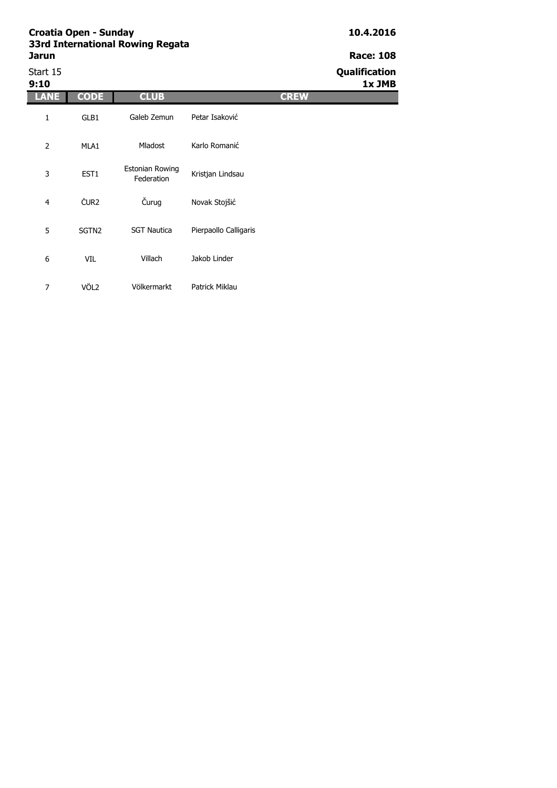Start 15 **Qualification**

| 9:10           |                   |                                      |                       |             | 1x JMB |
|----------------|-------------------|--------------------------------------|-----------------------|-------------|--------|
| LANE           | <b>CODE</b>       | <b>CLUB</b>                          |                       | <b>CREW</b> |        |
| 1              | GLB1              | Galeb Zemun                          | Petar Isaković        |             |        |
| $\overline{2}$ | MLA1              | Mladost                              | Karlo Romanić         |             |        |
| 3              | EST1              | <b>Estonian Rowing</b><br>Federation | Kristjan Lindsau      |             |        |
| $\overline{4}$ | ČUR <sub>2</sub>  | Čurug                                | Novak Stojšić         |             |        |
| 5              | SGTN <sub>2</sub> | <b>SGT Nautica</b>                   | Pierpaollo Calligaris |             |        |
| 6              | VIL               | Villach                              | Jakob Linder          |             |        |
| 7              | VÖL <sub>2</sub>  | Völkermarkt                          | Patrick Miklau        |             |        |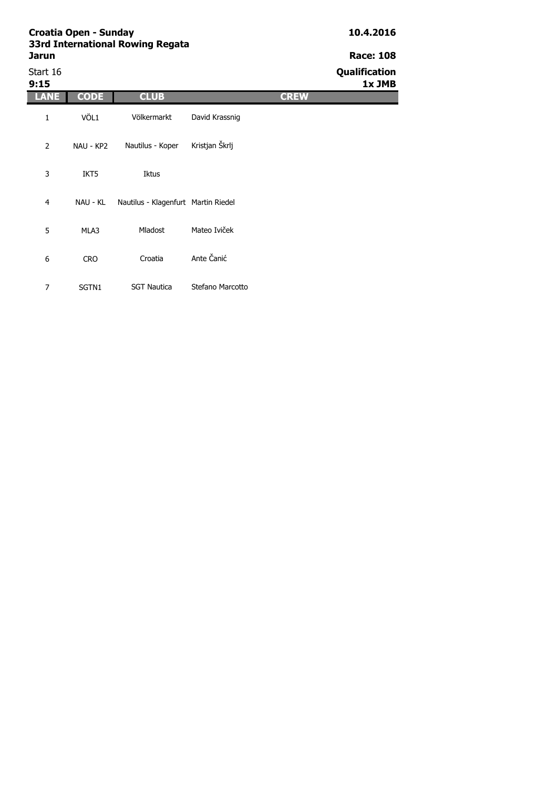| Start 16<br>9:15 |             |                                     |                  | Qualification<br>1x JMB |
|------------------|-------------|-------------------------------------|------------------|-------------------------|
| <b>ANE</b>       | <b>CODE</b> | <b>CLUB</b>                         | <b>CREW</b>      |                         |
| 1                | VÖL1        | Völkermarkt                         | David Krassnig   |                         |
| $\overline{2}$   | NAU - KP2   | Nautilus - Koper                    | Kristjan Škrlj   |                         |
| 3                | IKT5        | Iktus                               |                  |                         |
| 4                | NAU - KL    | Nautilus - Klagenfurt Martin Riedel |                  |                         |
| 5                | MLA3        | Mladost                             | Mateo Iviček     |                         |
| 6                | <b>CRO</b>  | Croatia                             | Ante Čanić       |                         |
| 7                | SGTN1       | <b>SGT Nautica</b>                  | Stefano Marcotto |                         |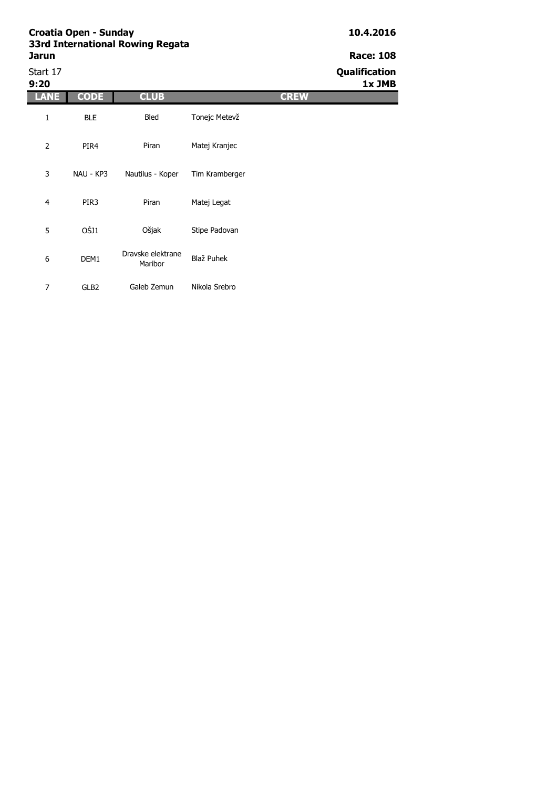# Start 17 **Qualification**

| 9:20             |                  |                              |                |             | 1x JMB |
|------------------|------------------|------------------------------|----------------|-------------|--------|
| <b>ANE</b>       | <b>CODE</b>      | <b>CLUB</b>                  |                | <b>CREW</b> |        |
| 1                | <b>BLE</b>       | Bled                         | Tonejc Metevž  |             |        |
| $\overline{2}$   | PIR4             | Piran                        | Matej Kranjec  |             |        |
| 3                | NAU - KP3        | Nautilus - Koper             | Tim Kramberger |             |        |
| $\overline{4}$   | PIR <sub>3</sub> | Piran                        | Matej Legat    |             |        |
| 5                | OŠJ1             | Ošjak                        | Stipe Padovan  |             |        |
| $\boldsymbol{6}$ | DEM1             | Dravske elektrane<br>Maribor | Blaž Puhek     |             |        |
| 7                | GLB <sub>2</sub> | Galeb Zemun                  | Nikola Srebro  |             |        |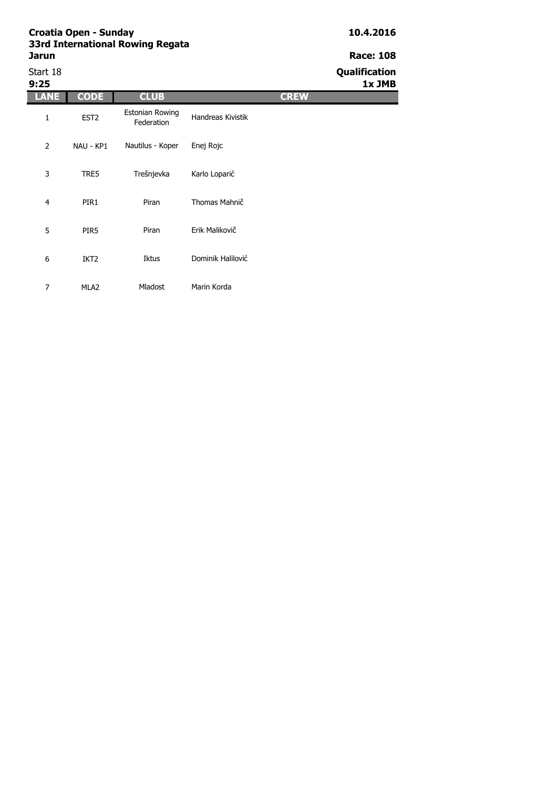| Start 18<br>9:25 |                  |                               |                   | Qualification<br>1x JMB |
|------------------|------------------|-------------------------------|-------------------|-------------------------|
| LANE             | <b>CODE</b>      | <b>CLUB</b>                   |                   | <b>CREW</b>             |
| 1                | EST <sub>2</sub> | Estonian Rowing<br>Federation | Handreas Kivistik |                         |
| 2                | NAU - KP1        | Nautilus - Koper              | Enej Rojc         |                         |
| 3                | TRE5             | Trešnjevka                    | Karlo Loparić     |                         |
| 4                | PIR1             | Piran                         | Thomas Mahnič     |                         |
| 5                | PIR <sub>5</sub> | Piran                         | Erik Malikovič    |                         |
| 6                | IKT <sub>2</sub> | <b>Iktus</b>                  | Dominik Halilović |                         |
| $\overline{7}$   | MLA <sub>2</sub> | Mladost                       | Marin Korda       |                         |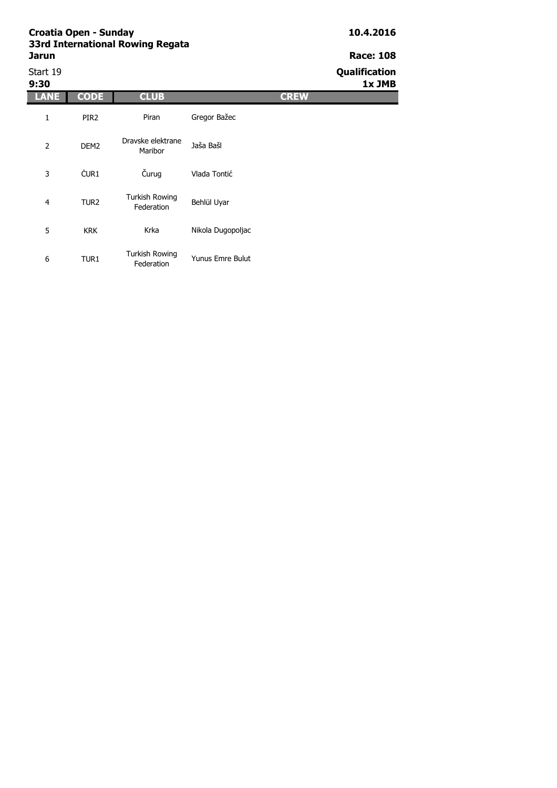Start 19 **Qualification**

| 9:30           |                  |                                     |                   |             | 1x JMB |
|----------------|------------------|-------------------------------------|-------------------|-------------|--------|
| ANE            | <b>CODE</b>      | <b>CLUB</b>                         |                   | <b>CREW</b> |        |
| 1              | PIR <sub>2</sub> | Piran                               | Gregor Bažec      |             |        |
| $\overline{2}$ | DEM <sub>2</sub> | Dravske elektrane<br>Maribor        | Jaša Bašl         |             |        |
| 3              | ČUR <sub>1</sub> | Čurug                               | Vlada Tontić      |             |        |
| $\overline{4}$ | TUR <sub>2</sub> | <b>Turkish Rowing</b><br>Federation | Behlül Uyar       |             |        |
| 5              | <b>KRK</b>       | Krka                                | Nikola Dugopoljac |             |        |
| 6              | TUR <sub>1</sub> | Turkish Rowing<br>Federation        | Yunus Emre Bulut  |             |        |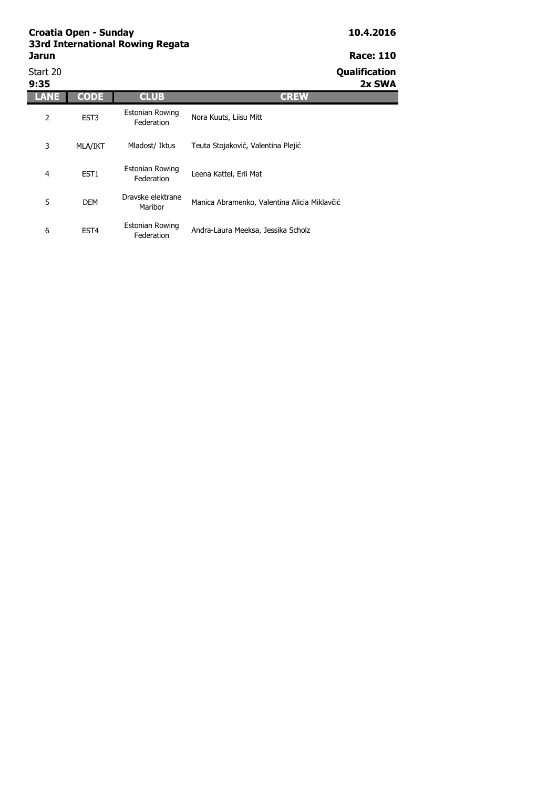Start 20 **Qualification** 

| 9:35 |                  |                                      | 2x SWA                                       |  |
|------|------------------|--------------------------------------|----------------------------------------------|--|
|      | <b>CODE</b>      | <b>CLUB</b>                          | <b>CREW</b>                                  |  |
| 2    | EST <sub>3</sub> | <b>Estonian Rowing</b><br>Federation | Nora Kuuts, Liisu Mitt                       |  |
| 3    | <b>MLA/IKT</b>   | Mladost/ Iktus                       | Teuta Stojaković, Valentina Plejić           |  |
| 4    | EST <sub>1</sub> | <b>Estonian Rowing</b><br>Federation | Leena Kattel, Erli Mat                       |  |
| 5    | <b>DEM</b>       | Dravske elektrane<br>Maribor         | Manica Abramenko, Valentina Alicia Miklavčić |  |
| 6    | EST <sub>4</sub> | <b>Estonian Rowing</b><br>Federation | Andra-Laura Meeksa, Jessika Scholz           |  |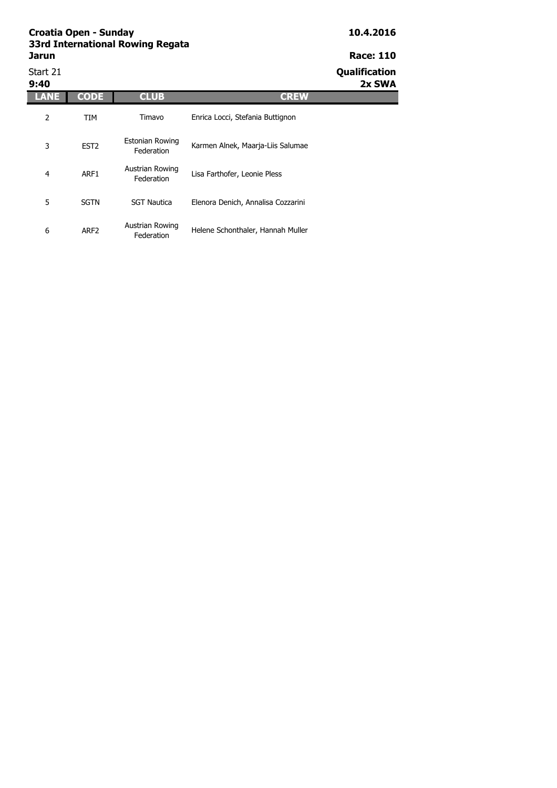| Start 21<br>9:40 |                  |                                      |                                    | Qualification<br>2x SWA |
|------------------|------------------|--------------------------------------|------------------------------------|-------------------------|
| LANE             | <b>CODE</b>      | <b>CLUB</b>                          | <b>CREW</b>                        |                         |
| 2                | TIM              | Timavo                               | Enrica Locci, Stefania Buttignon   |                         |
| 3                | EST <sub>2</sub> | <b>Estonian Rowing</b><br>Federation | Karmen Alnek, Maarja-Liis Salumae  |                         |
| 4                | ARF1             | Austrian Rowing<br>Federation        | Lisa Farthofer, Leonie Pless       |                         |
| 5                | <b>SGTN</b>      | <b>SGT Nautica</b>                   | Elenora Denich, Annalisa Cozzarini |                         |
| 6                | ARF <sub>2</sub> | Austrian Rowing<br>Federation        | Helene Schonthaler, Hannah Muller  |                         |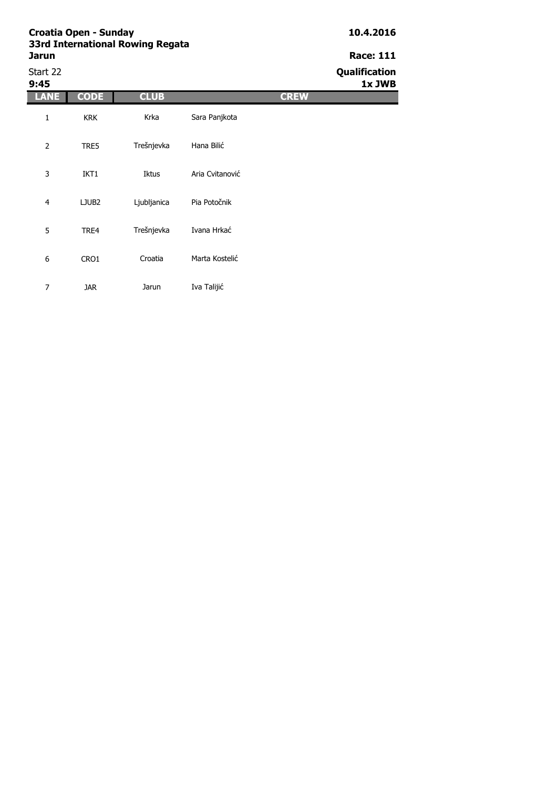| Start 22<br>9:45 |                   |             |                 | Qualification<br>1x JWB |
|------------------|-------------------|-------------|-----------------|-------------------------|
| LANE             | <b>CODE</b>       | <b>CLUB</b> |                 | <b>CREW</b>             |
| $\mathbf{1}$     | <b>KRK</b>        | Krka        | Sara Panjkota   |                         |
| $\overline{2}$   | TRE5              | Trešnjevka  | Hana Bilić      |                         |
| 3                | IKT1              | Iktus       | Aria Cvitanović |                         |
| $\overline{4}$   | LJUB <sub>2</sub> | Ljubljanica | Pia Potočnik    |                         |
| 5                | TRE4              | Trešnjevka  | Ivana Hrkać     |                         |
| 6                | CRO1              | Croatia     | Marta Kostelić  |                         |
| $\overline{7}$   | <b>JAR</b>        | Jarun       | Iva Talijić     |                         |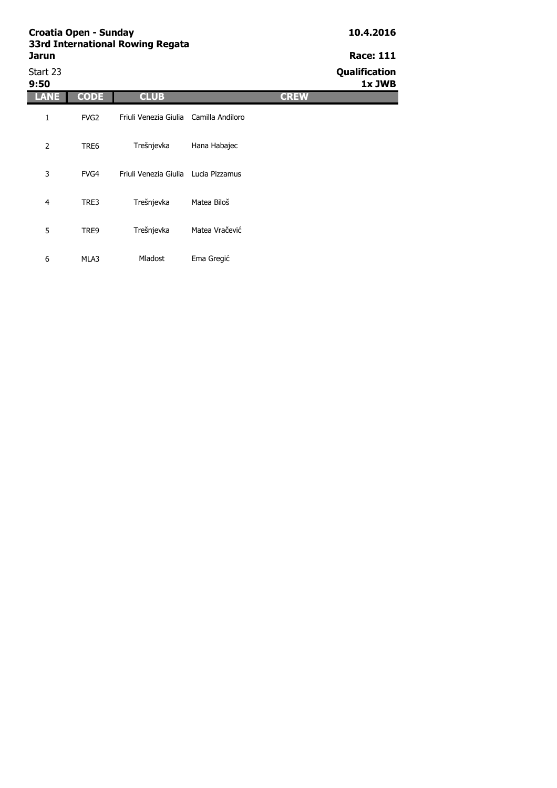**9:50 1x JWB**

Start 23 **Qualification**

| 9:50 |                  |                                        |                |             |
|------|------------------|----------------------------------------|----------------|-------------|
| ANE  | <b>CODE</b>      | <b>CLUB</b>                            |                | <b>CREW</b> |
| 1    | FVG <sub>2</sub> | Friuli Venezia Giulia Camilla Andiloro |                |             |
| 2    | TRE6             | Trešnjevka                             | Hana Habajec   |             |
| 3    | FVG4             | Friuli Venezia Giulia Lucia Pizzamus   |                |             |
| 4    | TRE3             | Trešnjevka                             | Matea Biloš    |             |
| 5    | TRE9             | Trešnjevka                             | Matea Vračević |             |
| 6    | MLA3             | Mladost                                | Ema Gregić     |             |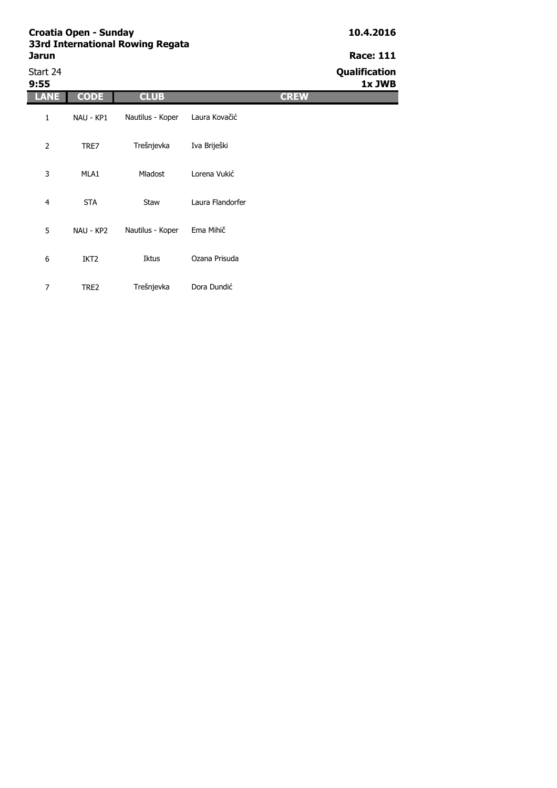Start 24 **Qualification**

| 9:55           |                  |                  |                  |             | 1x JWB |
|----------------|------------------|------------------|------------------|-------------|--------|
| <b>ANE</b>     | <b>CODE</b>      | <b>CLUB</b>      |                  | <b>CREW</b> |        |
| 1              | NAU - KP1        | Nautilus - Koper | Laura Kovačić    |             |        |
| $\overline{2}$ | TRE7             | Trešnjevka       | Iva Briješki     |             |        |
| 3              | MLA1             | Mladost          | Lorena Vukić     |             |        |
| $\overline{4}$ | <b>STA</b>       | Staw             | Laura Flandorfer |             |        |
| 5              | NAU - KP2        | Nautilus - Koper | Ema Mihič        |             |        |
| 6              | IKT <sub>2</sub> | Iktus            | Ozana Prisuda    |             |        |
| 7              | TRE2             | Trešnjevka       | Dora Dundić      |             |        |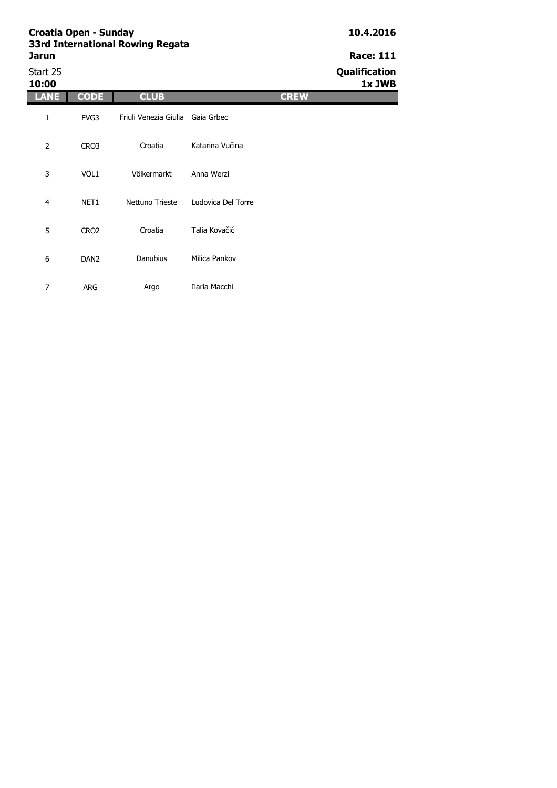| <b>3310 International Rowllly Regata</b><br>Jarun | <b>Race: 111</b> |
|---------------------------------------------------|------------------|
| Start 25                                          | Qualification    |

| Start 25<br>10:00 |                  |                                  |                    | Qualification<br>1x JWB |
|-------------------|------------------|----------------------------------|--------------------|-------------------------|
| <b>LANE</b>       | <b>CODE</b>      | <b>CLUB</b>                      |                    | <b>CREW</b>             |
| 1                 | FVG3             | Friuli Venezia Giulia Gaia Grbec |                    |                         |
| $\overline{2}$    | CRO3             | Croatia                          | Katarina Vučina    |                         |
| 3                 | VÖL1             | Völkermarkt                      | Anna Werzi         |                         |
| $\overline{4}$    | NET <sub>1</sub> | Nettuno Trieste                  | Ludovica Del Torre |                         |
| 5                 | CRO <sub>2</sub> | Croatia                          | Talia Kovačić      |                         |
| 6                 | DAN <sub>2</sub> | Danubius                         | Milica Pankov      |                         |
| $\overline{7}$    | <b>ARG</b>       | Argo                             | Ilaria Macchi      |                         |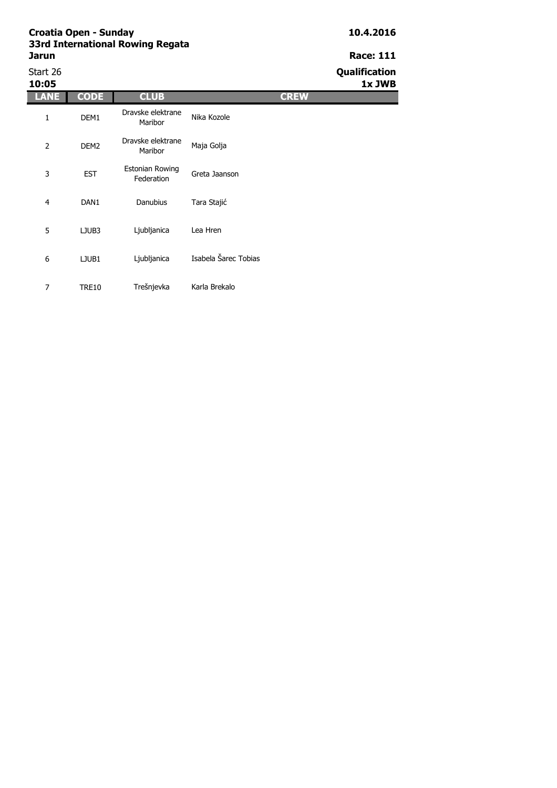| Start 26<br>10:05 |                  |                                      |                      | Qualification<br>1x JWB |
|-------------------|------------------|--------------------------------------|----------------------|-------------------------|
| ANE               | <b>CODE</b>      | <b>CLUB</b>                          | <b>CREW</b>          |                         |
| 1                 | DEM1             | Dravske elektrane<br>Maribor         | Nika Kozole          |                         |
| $\overline{2}$    | DEM <sub>2</sub> | Dravske elektrane<br>Maribor         | Maja Golja           |                         |
| 3                 | <b>EST</b>       | <b>Estonian Rowing</b><br>Federation | Greta Jaanson        |                         |
| $\overline{4}$    | DAN1             | Danubius                             | Tara Stajić          |                         |
| 5                 | LJUB3            | Ljubljanica                          | Lea Hren             |                         |
| 6                 | LJUB1            | Ljubljanica                          | Isabela Šarec Tobias |                         |
| 7                 | <b>TRE10</b>     | Trešnjevka                           | Karla Brekalo        |                         |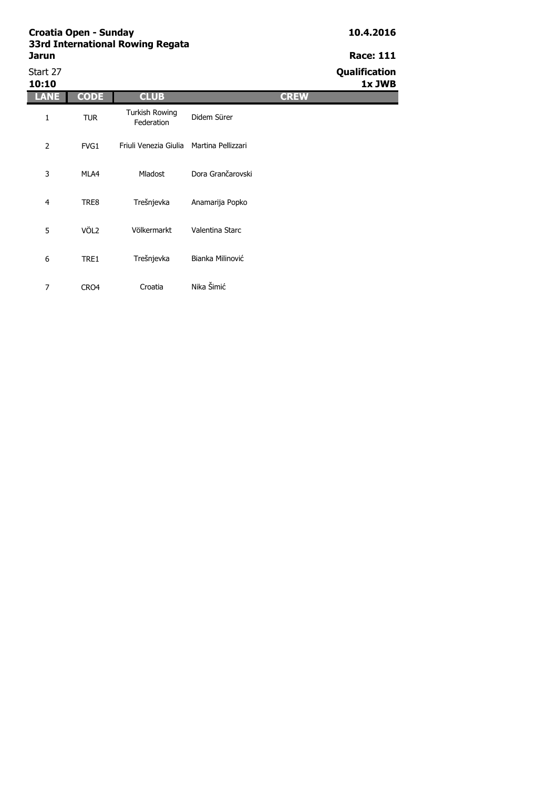Start 27 **Qualification**

**10:10 1x JWB**

| 10:10          |                  |                                          |                   |             |
|----------------|------------------|------------------------------------------|-------------------|-------------|
| <b>ANE</b>     | <b>CODE</b>      | <b>CLUB</b>                              |                   | <b>CREW</b> |
| 1              | <b>TUR</b>       | <b>Turkish Rowing</b><br>Federation      | Didem Sürer       |             |
| $\overline{2}$ | FVG1             | Friuli Venezia Giulia Martina Pellizzari |                   |             |
| 3              | MLA4             | <b>Mladost</b>                           | Dora Grančarovski |             |
| 4              | TRE8             | Trešnjevka                               | Anamarija Popko   |             |
| 5              | VÖL <sub>2</sub> | Völkermarkt                              | Valentina Starc   |             |
| 6              | TRE1             | Trešnjevka                               | Bianka Milinović  |             |
| 7              | CRO4             | Croatia                                  | Nika Šimić        |             |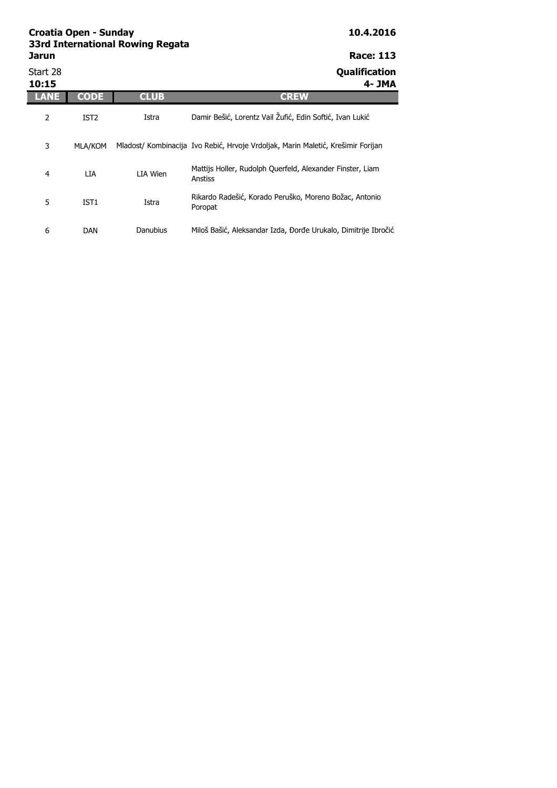| Jarun             |                  |             | <b>Race: 113</b>                                                                 |
|-------------------|------------------|-------------|----------------------------------------------------------------------------------|
| Start 28<br>10:15 |                  |             | Qualification<br>4- JMA                                                          |
| LANE              | <b>CODE</b>      | <b>CLUB</b> | <b>CREW</b>                                                                      |
| 2                 | IST <sub>2</sub> | Istra       | Damir Bešić, Lorentz Vail Žufić, Edin Softić, Ivan Lukić                         |
| 3                 | <b>MLA/KOM</b>   |             | Mladost/ Kombinacija Ivo Rebić, Hrvoje Vrdoljak, Marin Maletić, Krešimir Forijan |
| 4                 | LIA              | LIA Wien    | Mattijs Holler, Rudolph Querfeld, Alexander Finster, Liam<br>Anstiss             |
| 5                 | IST <sub>1</sub> | Istra       | Rikardo Radešić, Korado Peruško, Moreno Božac, Antonio<br>Poropat                |
| 6                 | DAN              | Danubius    | Miloš Bašić, Aleksandar Izda, Đorđe Urukalo, Dimitrije Ibročić                   |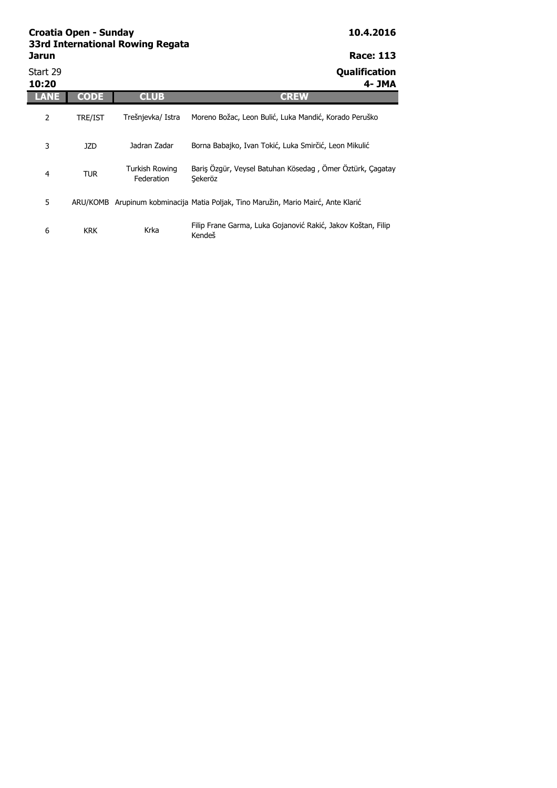| Jarun             |             |                              | <b>Race: 113</b>                                                                   |
|-------------------|-------------|------------------------------|------------------------------------------------------------------------------------|
| Start 29<br>10:20 |             |                              | Qualification<br>4- JMA                                                            |
| <b>LANE</b>       | <b>CODE</b> | <b>CLUB</b>                  | <b>CREW</b>                                                                        |
| $\overline{2}$    | TRE/IST     | Trešnjevka/ Istra            | Moreno Božac, Leon Bulić, Luka Mandić, Korado Peruško                              |
| 3                 | <b>JZD</b>  | Jadran Zadar                 | Borna Babajko, Ivan Tokić, Luka Smirčić, Leon Mikulić                              |
| 4                 | <b>TUR</b>  | Turkish Rowing<br>Federation | Baris Özgür, Veysel Batuhan Kösedag, Ömer Öztürk, Cagatay<br>Sekeröz               |
| 5                 |             |                              | ARU/KOMB Arupinum kobminacija Matia Poljak, Tino Maružin, Mario Mairć, Ante Klarić |
| 6                 | <b>KRK</b>  | Krka                         | Filip Frane Garma, Luka Gojanović Rakić, Jakov Koštan, Filip<br>Kendeš             |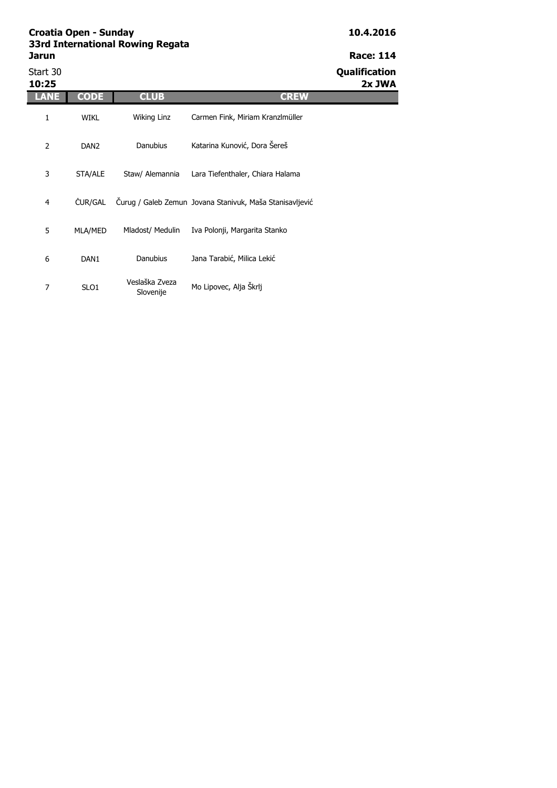Start 30 **Qualification**

| 10:25          |                  |                             |                                                          | 2x JWA |
|----------------|------------------|-----------------------------|----------------------------------------------------------|--------|
| LANE           | <b>CODE</b>      | <b>CLUB</b>                 | <b>CREW</b>                                              |        |
| 1              | <b>WIKL</b>      | Wiking Linz                 | Carmen Fink, Miriam Kranzlmüller                         |        |
| $\overline{2}$ | DAN <sub>2</sub> | <b>Danubius</b>             | Katarina Kunović, Dora Šereš                             |        |
| 3              | STA/ALE          | Staw/ Alemannia             | Lara Tiefenthaler, Chiara Halama                         |        |
| 4              | ČUR/GAL          |                             | Čurug / Galeb Zemun Jovana Stanivuk, Maša Stanisavljević |        |
| 5              | MLA/MED          | Mladost/ Medulin            | Iva Polonji, Margarita Stanko                            |        |
| 6              | DAN <sub>1</sub> | Danubius                    | Jana Tarabić, Milica Lekić                               |        |
| 7              | SLO <sub>1</sub> | Veslaška Zveza<br>Slovenije | Mo Lipovec, Alja Škrlj                                   |        |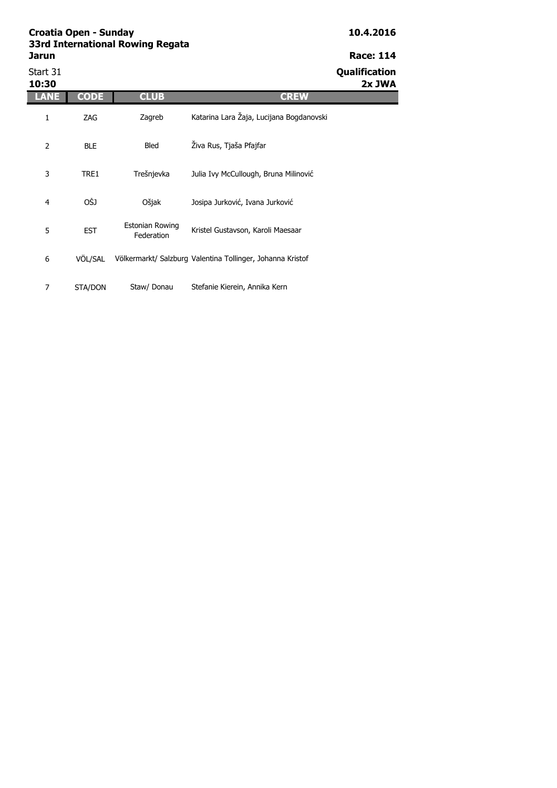Start 31 **Qualification**

| 10:30          |             |                               |                                                            | 2x JWA |
|----------------|-------------|-------------------------------|------------------------------------------------------------|--------|
| LANE           | <b>CODE</b> | <b>CLUB</b>                   | <b>CREW</b>                                                |        |
| 1              | ZAG         | Zagreb                        | Katarina Lara Žaja, Lucijana Bogdanovski                   |        |
| 2              | <b>BLE</b>  | Bled                          | Živa Rus, Tjaša Pfajfar                                    |        |
| 3              | TRE1        | Trešnjevka                    | Julia Ivy McCullough, Bruna Milinović                      |        |
| $\overline{4}$ | OŠJ         | Ošjak                         | Josipa Jurković, Ivana Jurković                            |        |
| 5              | <b>EST</b>  | Estonian Rowing<br>Federation | Kristel Gustavson, Karoli Maesaar                          |        |
| 6              | VÖL/SAL     |                               | Völkermarkt/ Salzburg Valentina Tollinger, Johanna Kristof |        |
| 7              | STA/DON     | Staw/ Donau                   | Stefanie Kierein, Annika Kern                              |        |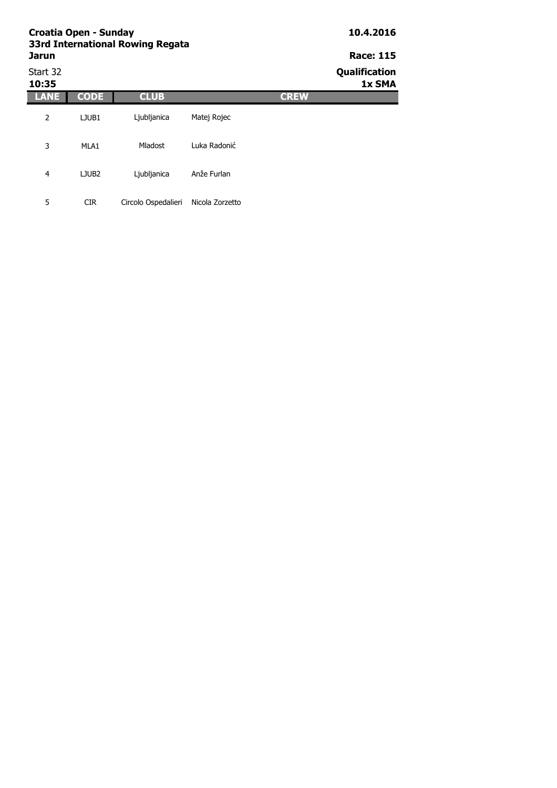| <b>Croatia Open - Sunday</b><br>33rd International Rowing Regata |                   |                     |                 |             | 10.4.2016                      |
|------------------------------------------------------------------|-------------------|---------------------|-----------------|-------------|--------------------------------|
| <b>Jarun</b>                                                     |                   | <b>Race: 115</b>    |                 |             |                                |
| Start 32<br>10:35                                                |                   |                     |                 |             | <b>Qualification</b><br>1x SMA |
| LANE                                                             | <b>CODE</b>       | <b>CLUB</b>         |                 | <b>CREW</b> |                                |
| 2                                                                | LJUB1             | Ljubljanica         | Matej Rojec     |             |                                |
| 3                                                                | MLA1              | Mladost             | Luka Radonić    |             |                                |
| 4                                                                | LJUB <sub>2</sub> | Ljubljanica         | Anže Furlan     |             |                                |
| 5                                                                | <b>CIR</b>        | Circolo Ospedalieri | Nicola Zorzetto |             |                                |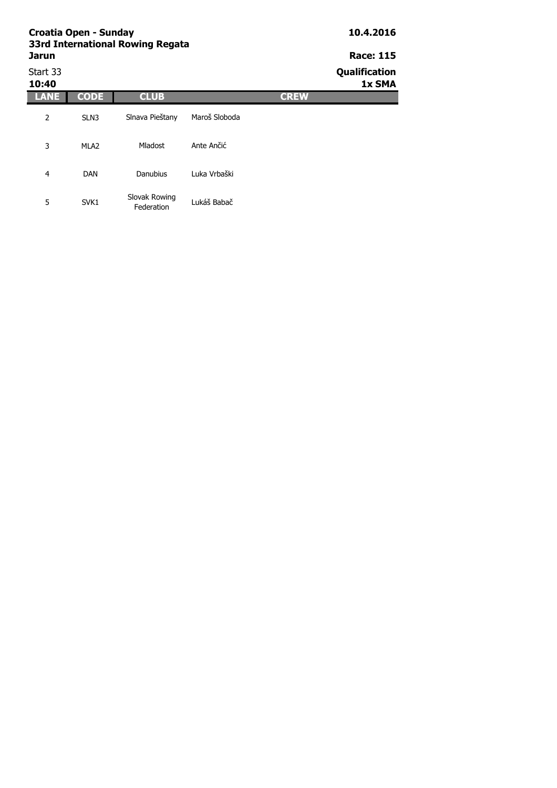| <b>Croatia Open - Sunday</b><br>33rd International Rowing Regata | 10.4.2016        |                             |               |             |                         |
|------------------------------------------------------------------|------------------|-----------------------------|---------------|-------------|-------------------------|
| <b>Jarun</b>                                                     | <b>Race: 115</b> |                             |               |             |                         |
| Start 33<br>10:40                                                |                  |                             |               |             | Qualification<br>1x SMA |
| LANE                                                             | <b>CODE</b>      | <b>CLUB</b>                 |               | <b>CREW</b> |                         |
| 2                                                                | SLN3             | Slnava Pieštany             | Maroš Sloboda |             |                         |
| 3                                                                | MLA <sub>2</sub> | Mladost                     | Ante Ančić    |             |                         |
| 4                                                                | <b>DAN</b>       | <b>Danubius</b>             | Luka Vrbaški  |             |                         |
| 5                                                                | SVK1             | Slovak Rowing<br>Federation | Lukáš Babač   |             |                         |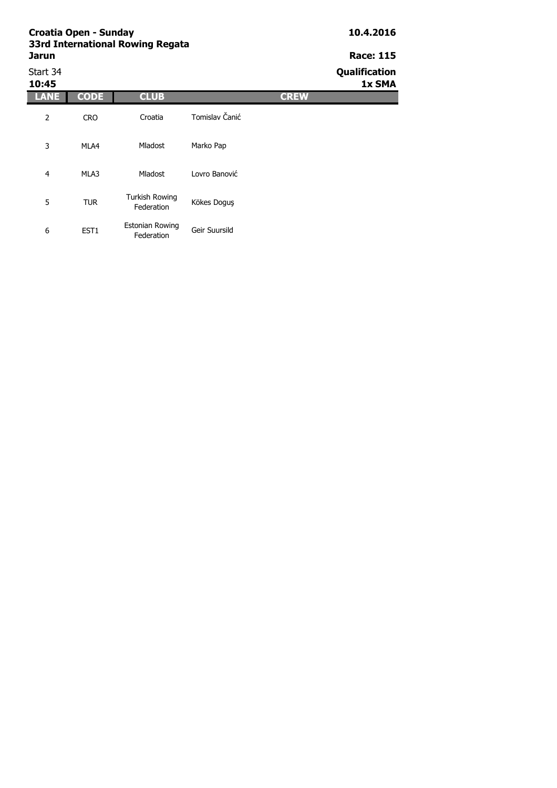| Start 34<br>10:45 |                  |                                      |                |             | Qualification<br>1x SMA |
|-------------------|------------------|--------------------------------------|----------------|-------------|-------------------------|
|                   | <b>CODE</b>      | <b>CLUB</b>                          |                | <b>CREW</b> |                         |
| 2                 | <b>CRO</b>       | Croatia                              | Tomislav Čanić |             |                         |
| 3                 | MLA4             | Mladost                              | Marko Pap      |             |                         |
| $\overline{4}$    | MLA3             | Mladost                              | Lovro Banović  |             |                         |
| 5                 | <b>TUR</b>       | <b>Turkish Rowing</b><br>Federation  | Kökes Doguş    |             |                         |
| 6                 | EST <sub>1</sub> | <b>Estonian Rowing</b><br>Federation | Geir Suursild  |             |                         |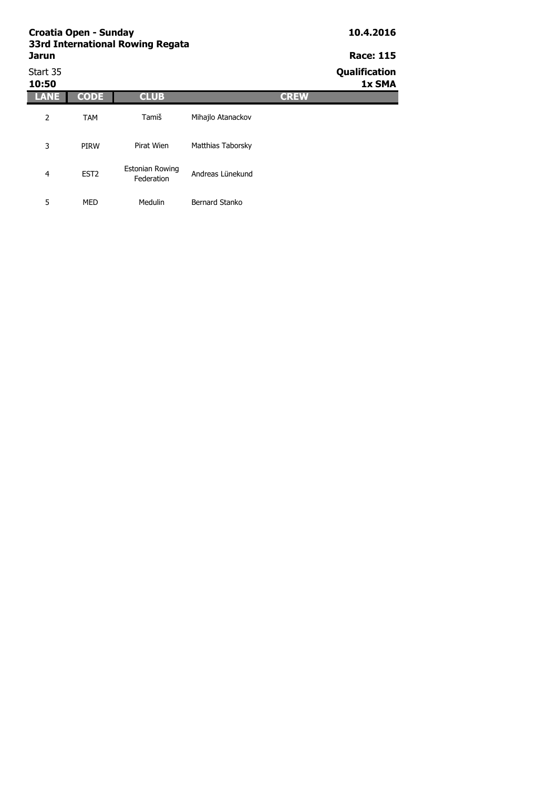# Start 35 **Qualification**

| 10:50          |                  |                                      | 1x SMA            |  |
|----------------|------------------|--------------------------------------|-------------------|--|
|                | <b>CODE</b>      | <b>CLUB</b>                          | <b>CREW</b>       |  |
| 2              | <b>TAM</b>       | Tamiš                                | Mihajlo Atanackov |  |
| 3              | <b>PIRW</b>      | Pirat Wien                           | Matthias Taborsky |  |
| $\overline{4}$ | EST <sub>2</sub> | <b>Estonian Rowing</b><br>Federation | Andreas Lünekund  |  |
| 5              | <b>MED</b>       | Medulin                              | Bernard Stanko    |  |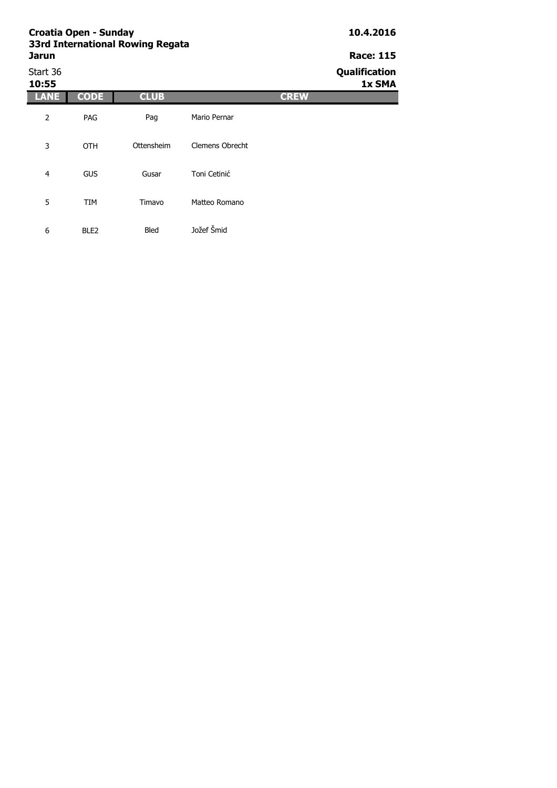# Start 36 **Qualification**

| 10:55          |                  |             |                        | 1x SMA |
|----------------|------------------|-------------|------------------------|--------|
| LANE           | <b>CODE</b>      | <b>CLUB</b> | <b>CREW</b>            |        |
| 2              | PAG              | Pag         | Mario Pernar           |        |
| 3              | <b>OTH</b>       | Ottensheim  | <b>Clemens Obrecht</b> |        |
| $\overline{4}$ | <b>GUS</b>       | Gusar       | Toni Cetinić           |        |
| 5              | <b>TIM</b>       | Timavo      | Matteo Romano          |        |
| 6              | BLE <sub>2</sub> | <b>Bled</b> | Jožef Šmid             |        |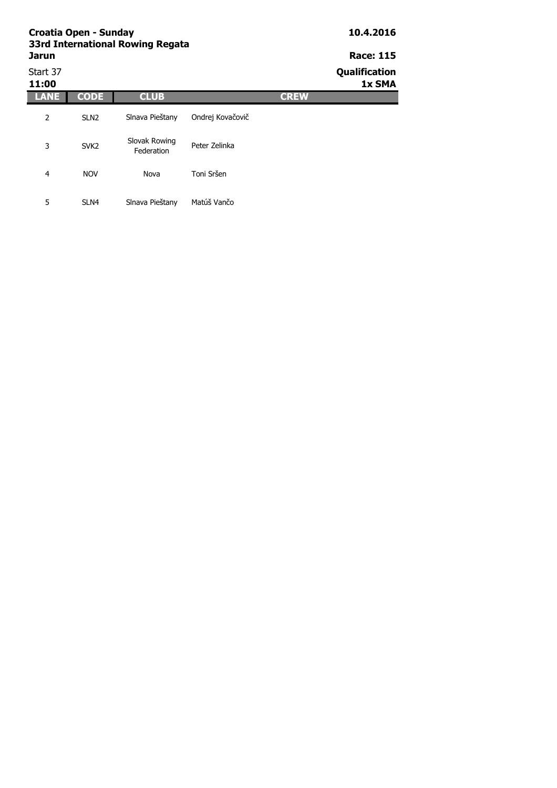|                   | <b>Croatia Open - Sunday</b><br>33rd International Rowing Regata | 10.4.2016                   |                  |             |                         |
|-------------------|------------------------------------------------------------------|-----------------------------|------------------|-------------|-------------------------|
| <b>Jarun</b>      |                                                                  |                             |                  |             | <b>Race: 115</b>        |
| Start 37<br>11:00 |                                                                  |                             |                  |             | Qualification<br>1x SMA |
| LANE              | <b>CODE</b>                                                      | <b>CLUB</b>                 |                  | <b>CREW</b> |                         |
| 2                 | SLN <sub>2</sub>                                                 | Slnava Pieštany             | Ondrej Kovačovič |             |                         |
| 3                 | SVK <sub>2</sub>                                                 | Slovak Rowing<br>Federation | Peter Zelinka    |             |                         |
| 4                 | <b>NOV</b>                                                       | Nova                        | Toni Sršen       |             |                         |
| 5                 | SLN <sub>4</sub>                                                 | Slnava Pieštany             | Matúš Vančo      |             |                         |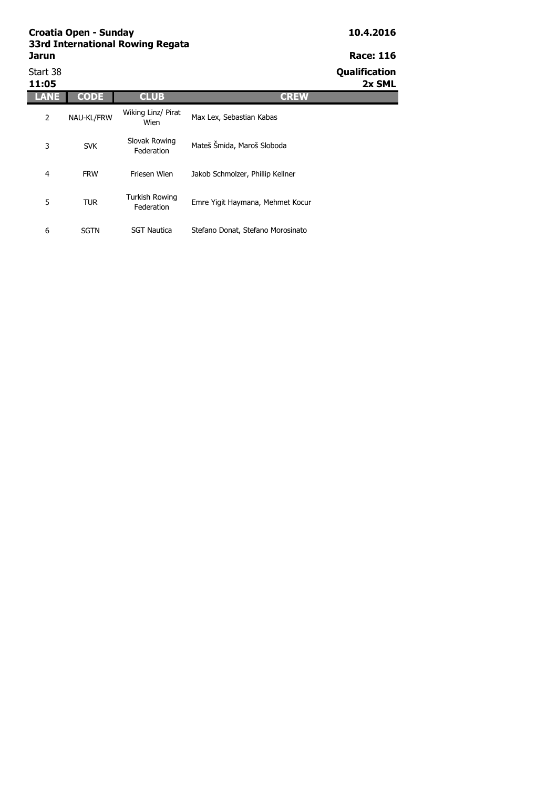Start 38 **Qualification**

**11:05 2x SML**

| 11:05 |             |                              |                                   |
|-------|-------------|------------------------------|-----------------------------------|
|       | <b>CODE</b> | <b>CLUB</b>                  | <b>CREW</b>                       |
| 2     | NAU-KL/FRW  | Wiking Linz/ Pirat<br>Wien   | Max Lex, Sebastian Kabas          |
| 3     | <b>SVK</b>  | Slovak Rowing<br>Federation  | Mateš Šmida, Maroš Sloboda        |
| 4     | <b>FRW</b>  | Friesen Wien                 | Jakob Schmolzer, Phillip Kellner  |
| 5     | <b>TUR</b>  | Turkish Rowing<br>Federation | Emre Yigit Haymana, Mehmet Kocur  |
| 6     | SGTN        | <b>SGT Nautica</b>           | Stefano Donat, Stefano Morosinato |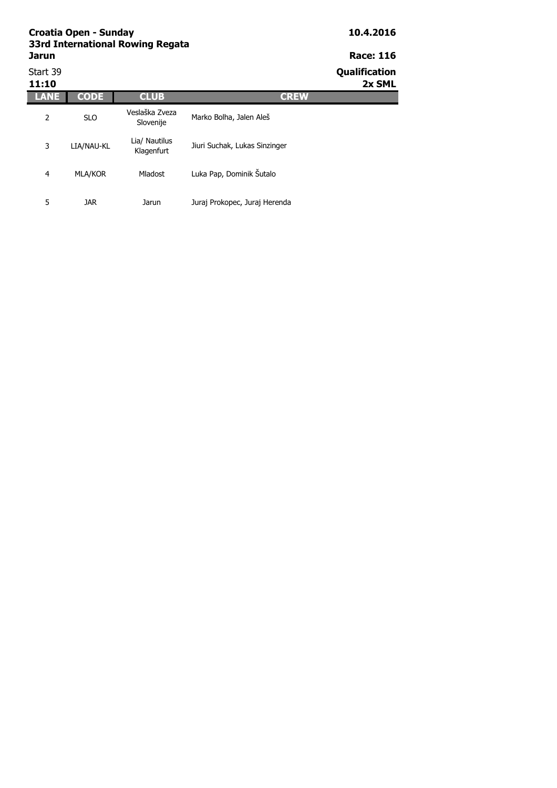| Start 39<br>11:10 |                |                             |                               | Qualification<br>2x SML |
|-------------------|----------------|-----------------------------|-------------------------------|-------------------------|
|                   | <b>CODE</b>    | <b>CLUB</b>                 | <b>CREW</b>                   |                         |
| 2                 | <b>SLO</b>     | Veslaška Zveza<br>Slovenije | Marko Bolha, Jalen Aleš       |                         |
| 3                 | LIA/NAU-KL     | Lia/ Nautilus<br>Klagenfurt | Jiuri Suchak, Lukas Sinzinger |                         |
| 4                 | <b>MLA/KOR</b> | Mladost                     | Luka Pap, Dominik Sutalo      |                         |
| 5                 | <b>JAR</b>     | Jarun                       | Juraj Prokopec, Juraj Herenda |                         |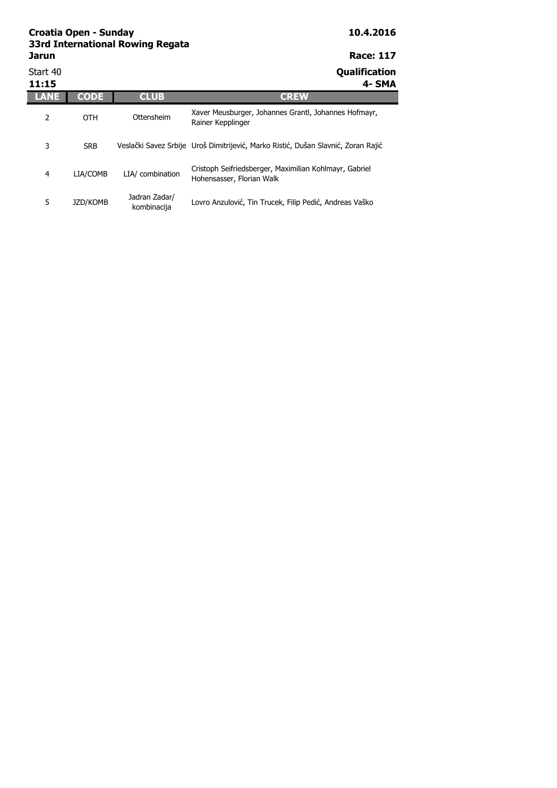| Start 40<br>11:15 |            |                              | <b>Qualification</b><br>4- SMA                                                      |
|-------------------|------------|------------------------------|-------------------------------------------------------------------------------------|
|                   | CODE       | <b>CLUB</b>                  | <b>CREW</b>                                                                         |
| 2                 | <b>OTH</b> | Ottensheim                   | Xaver Meusburger, Johannes Grantl, Johannes Hofmayr,<br>Rainer Kepplinger           |
| 3                 | <b>SRB</b> |                              | Veslački Savez Srbije Uroš Dimitrijević, Marko Ristić, Dušan Slavnić, Zoran Rajić   |
| 4                 | LIA/COMB   | LIA/ combination             | Cristoph Seifriedsberger, Maximilian Kohlmayr, Gabriel<br>Hohensasser, Florian Walk |
| 5                 | JZD/KOMB   | Jadran Zadar/<br>kombinacija | Lovro Anzulović, Tin Trucek, Filip Pedić, Andreas Vaško                             |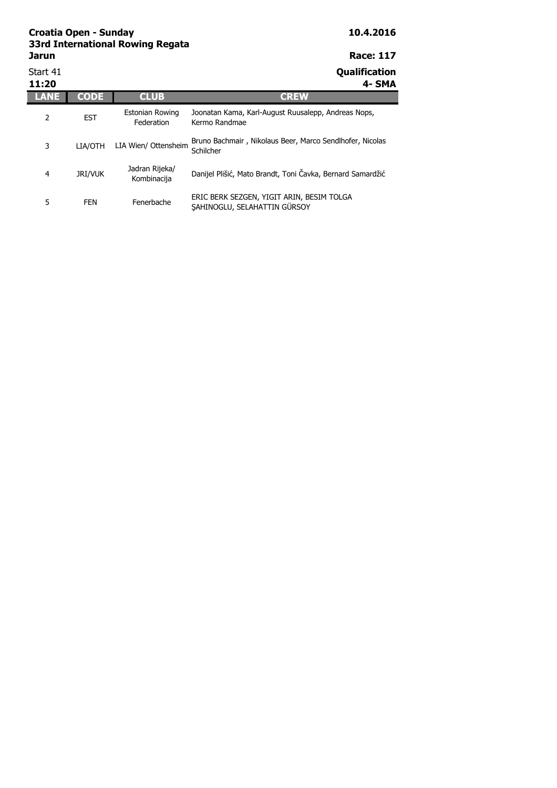| Start 41<br>11:20 |                |                               | <b>Qualification</b><br>4- SMA                                            |
|-------------------|----------------|-------------------------------|---------------------------------------------------------------------------|
|                   | <b>CODE</b>    | <b>CLUB</b>                   | <b>CREW</b>                                                               |
| 2                 | <b>EST</b>     | Estonian Rowing<br>Federation | Joonatan Kama, Karl-August Ruusalepp, Andreas Nops,<br>Kermo Randmae      |
| 3                 | LIA/OTH        | LIA Wien/ Ottensheim          | Bruno Bachmair, Nikolaus Beer, Marco Sendlhofer, Nicolas<br>Schilcher     |
| 4                 | <b>JRI/VUK</b> | Jadran Rijeka/<br>Kombinacija | Danijel Plišić, Mato Brandt, Toni Čavka, Bernard Samardžić                |
| 5                 | <b>FEN</b>     | Fenerbache                    | ERIC BERK SEZGEN, YIGIT ARIN, BESIM TOLGA<br>SAHINOGLU, SELAHATTIN GÜRSOY |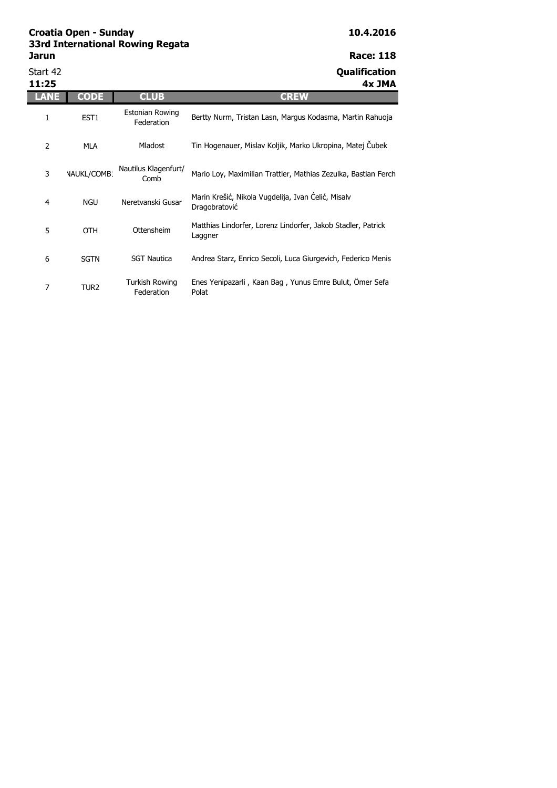Start 42 **Qualification** 

| 11:25 |                    |                               | 4x JMA                                                                  |
|-------|--------------------|-------------------------------|-------------------------------------------------------------------------|
| LANE  | <b>CODE</b>        | <b>CLUB</b>                   | <b>CREW</b>                                                             |
| 1     | EST <sub>1</sub>   | Estonian Rowing<br>Federation | Bertty Nurm, Tristan Lasn, Margus Kodasma, Martin Rahuoja               |
| 2     | <b>MLA</b>         | Mladost                       | Tin Hogenauer, Mislav Koljik, Marko Ukropina, Matej Čubek               |
| 3     | <b>VAUKL/COMB1</b> | Nautilus Klagenfurt/<br>Comb  | Mario Loy, Maximilian Trattler, Mathias Zezulka, Bastian Ferch          |
| 4     | <b>NGU</b>         | Neretvanski Gusar             | Marin Krešić, Nikola Vugdelija, Ivan Ćelić, Misalv<br>Dragobratović     |
| 5     | <b>OTH</b>         | Ottensheim                    | Matthias Lindorfer, Lorenz Lindorfer, Jakob Stadler, Patrick<br>Laggner |
| 6     | <b>SGTN</b>        | <b>SGT Nautica</b>            | Andrea Starz, Enrico Secoli, Luca Giurgevich, Federico Menis            |
| 7     | TUR2               | Turkish Rowing<br>Federation  | Enes Yenipazarli, Kaan Bag, Yunus Emre Bulut, Ömer Sefa<br>Polat        |